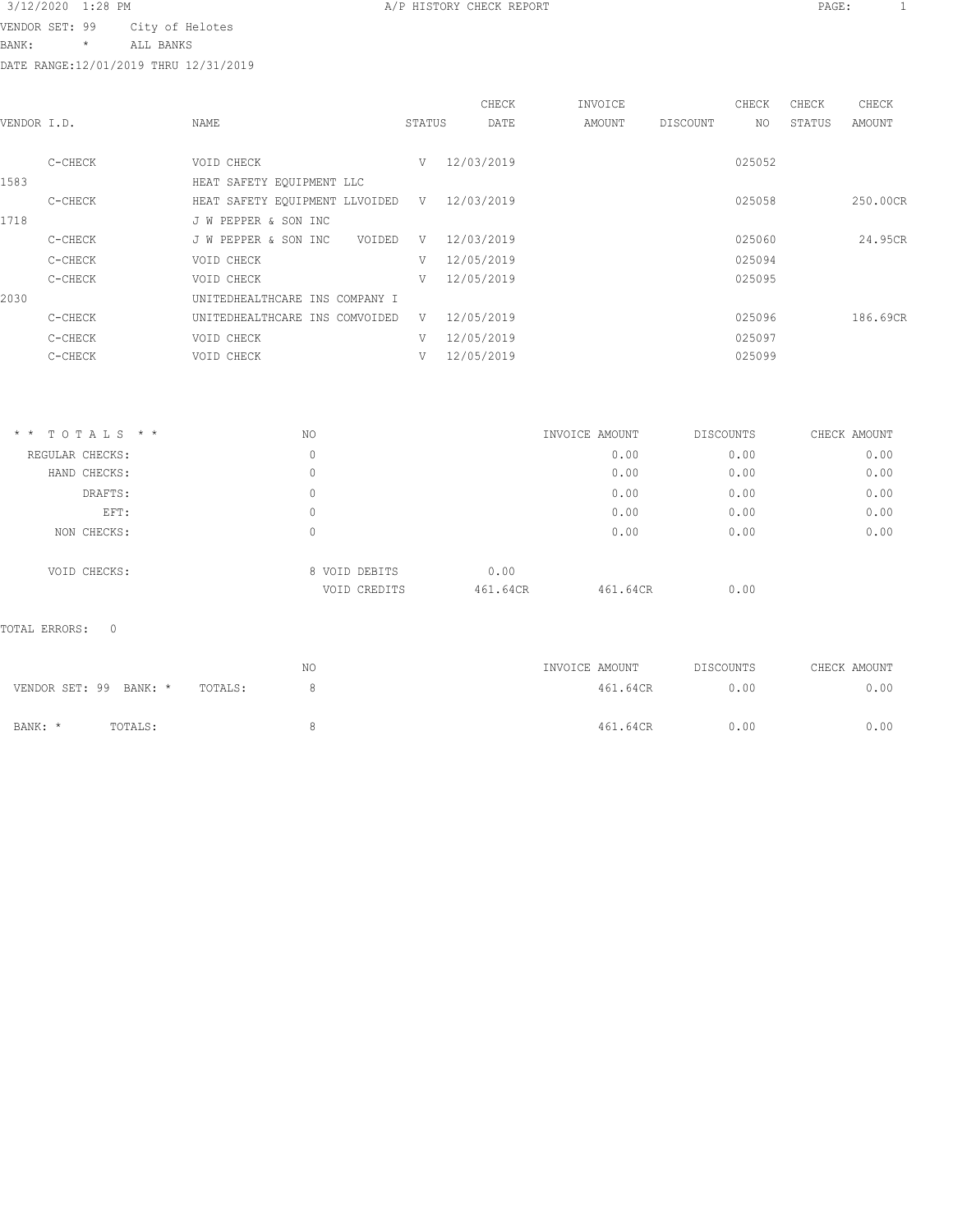VENDOR SET: 99 City of Helotes

BANK: \* ALL BANKS

DATE RANGE:12/01/2019 THRU 12/31/2019

|             |         |                                |        |             | CHECK      | INVOICE |          | CHECK  | CHECK  | CHECK    |
|-------------|---------|--------------------------------|--------|-------------|------------|---------|----------|--------|--------|----------|
| VENDOR I.D. |         | NAME                           |        | STATUS      | DATE       | AMOUNT  | DISCOUNT | NO.    | STATUS | AMOUNT   |
|             |         |                                |        |             |            |         |          |        |        |          |
|             | C-CHECK | VOID CHECK                     |        | V           | 12/03/2019 |         |          | 025052 |        |          |
| 1583        |         | HEAT SAFETY EQUIPMENT LLC      |        |             |            |         |          |        |        |          |
|             | C-CHECK | HEAT SAFETY EQUIPMENT LLVOIDED |        | $\mathbf V$ | 12/03/2019 |         |          | 025058 |        | 250.00CR |
| 1718        |         | J W PEPPER & SON INC           |        |             |            |         |          |        |        |          |
|             | C-CHECK | J W PEPPER & SON INC           | VOIDED | V           | 12/03/2019 |         |          | 025060 |        | 24.95CR  |
|             | C-CHECK | VOID CHECK                     |        | V           | 12/05/2019 |         |          | 025094 |        |          |
|             | C-CHECK | VOID CHECK                     |        | V           | 12/05/2019 |         |          | 025095 |        |          |
| 2030        |         | UNITEDHEALTHCARE INS COMPANY I |        |             |            |         |          |        |        |          |
|             | C-CHECK | UNITEDHEALTHCARE INS COMVOIDED |        | V           | 12/05/2019 |         |          | 025096 |        | 186.69CR |
|             | C-CHECK | VOID CHECK                     |        | V           | 12/05/2019 |         |          | 025097 |        |          |
|             | C-CHECK | VOID CHECK                     |        | V           | 12/05/2019 |         |          | 025099 |        |          |
|             |         |                                |        |             |            |         |          |        |        |          |

| $*$ * TOTALS * * | NO |                               | INVOICE AMOUNT   |          | DISCOUNTS | CHECK AMOUNT |
|------------------|----|-------------------------------|------------------|----------|-----------|--------------|
| REGULAR CHECKS:  | 0  |                               |                  | 0.00     | 0.00      | 0.00         |
| HAND CHECKS:     | 0  |                               |                  | 0.00     | 0.00      | 0.00         |
| DRAFTS:          | 0  |                               |                  | 0.00     | 0.00      | 0.00         |
| EFT:             | 0  |                               |                  | 0.00     | 0.00      | 0.00         |
| NON CHECKS:      | 0  |                               |                  | 0.00     | 0.00      | 0.00         |
| VOID CHECKS:     |    | 8 VOID DEBITS<br>VOID CREDITS | 0.00<br>461.64CR | 461.64CR | 0.00      |              |

|                        |         |         | NΟ | INVOICE AMOUNT |          | DISCOUNTS | CHECK AMOUNT |
|------------------------|---------|---------|----|----------------|----------|-----------|--------------|
| VENDOR SET: 99 BANK: * |         | TOTALS: |    |                | 461.64CR | 0.00      | 0.00         |
| BANK: *                | TOTALS: |         |    |                | 461.64CR | 0.00      | 0.00         |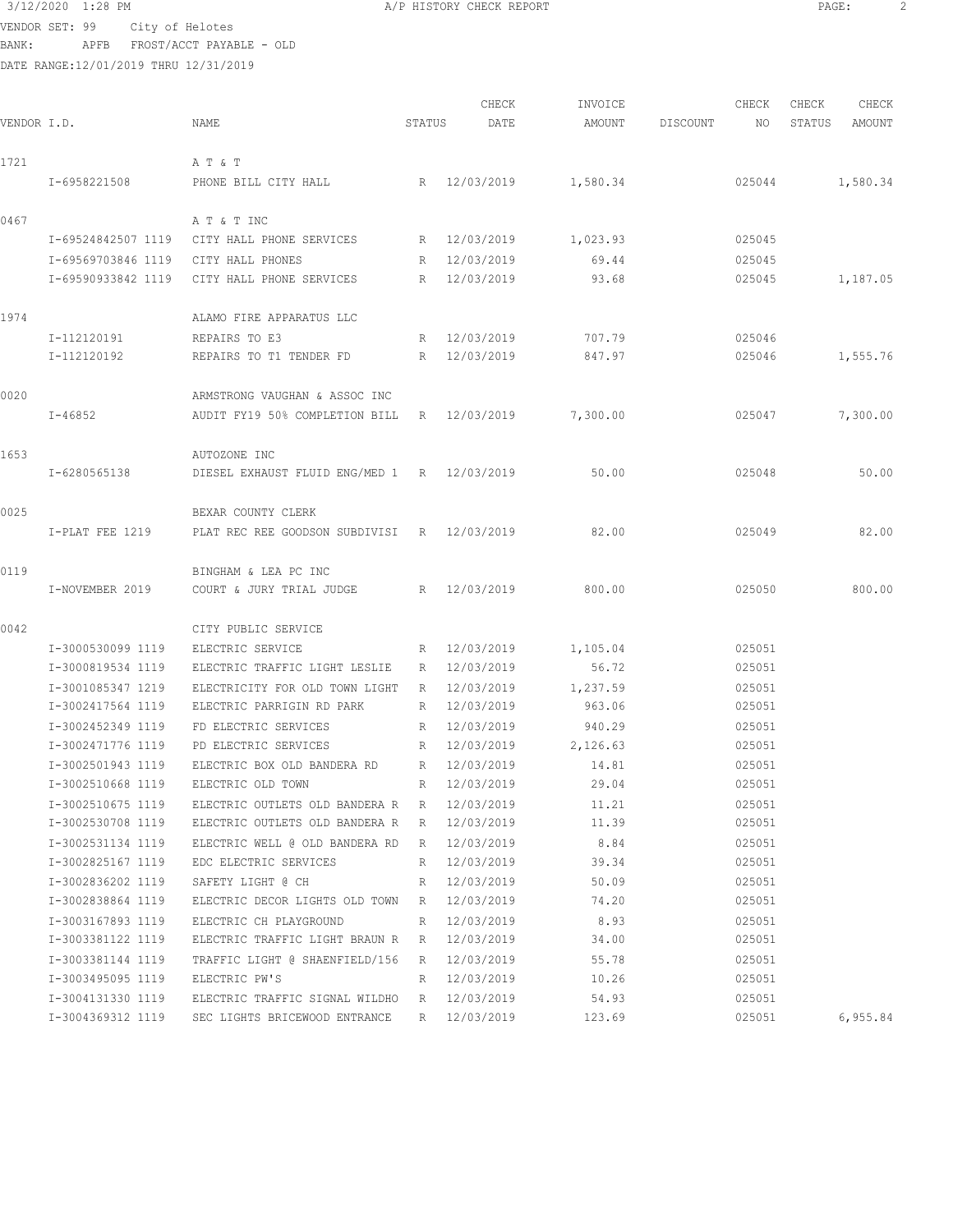```
3/12/2020 1:28 PM A/P HISTORY CHECK REPORT \overline{PAGE}: 2<br>VENDOR SET · 99 \overline{OSE}: 2
VENDOR SET: 99 City of Helotes
```
BANK: APFB FROST/ACCT PAYABLE - OLD DATE RANGE:12/01/2019 THRU 12/31/2019

|             |                    |                                             |                 | CHECK        | INVOICE  |          | CHECK  | CHECK  | CHECK    |
|-------------|--------------------|---------------------------------------------|-----------------|--------------|----------|----------|--------|--------|----------|
| VENDOR I.D. |                    | NAME                                        | STATUS          | DATE         | AMOUNT   | DISCOUNT | NO     | STATUS | AMOUNT   |
| 1721        |                    | A T & T                                     |                 |              |          |          |        |        |          |
|             | I-6958221508       | PHONE BILL CITY HALL                        |                 | R 12/03/2019 | 1,580.34 |          | 025044 |        | 1,580.34 |
| 0467        |                    | A T & T INC                                 |                 |              |          |          |        |        |          |
|             | I-69524842507 1119 | CITY HALL PHONE SERVICES                    | R               | 12/03/2019   | 1,023.93 |          | 025045 |        |          |
|             | I-69569703846 1119 | CITY HALL PHONES                            | $R_{\parallel}$ | 12/03/2019   | 69.44    |          | 025045 |        |          |
|             | I-69590933842 1119 | CITY HALL PHONE SERVICES                    | R               | 12/03/2019   | 93.68    |          | 025045 |        | 1,187.05 |
|             |                    |                                             |                 |              |          |          |        |        |          |
| 1974        |                    | ALAMO FIRE APPARATUS LLC                    |                 |              |          |          |        |        |          |
|             | I-112120191        | REPAIRS TO E3                               | R               | 12/03/2019   | 707.79   |          | 025046 |        |          |
|             | I-112120192        | REPAIRS TO T1 TENDER FD                     | R               | 12/03/2019   | 847.97   |          | 025046 |        | 1,555.76 |
| 0020        |                    | ARMSTRONG VAUGHAN & ASSOC INC               |                 |              |          |          |        |        |          |
|             | $I - 46852$        | AUDIT FY19 50% COMPLETION BILL              | R               | 12/03/2019   | 7,300.00 |          | 025047 |        | 7,300.00 |
| 1653        |                    | AUTOZONE INC                                |                 |              |          |          |        |        |          |
|             | I-6280565138       | DIESEL EXHAUST FLUID ENG/MED 1 R 12/03/2019 |                 |              | 50.00    |          | 025048 |        | 50.00    |
|             |                    |                                             |                 |              |          |          |        |        |          |
| 0025        |                    | BEXAR COUNTY CLERK                          |                 |              |          |          |        |        |          |
|             | I-PLAT FEE 1219    | PLAT REC REE GOODSON SUBDIVISI R 12/03/2019 |                 |              | 82.00    |          | 025049 |        | 82.00    |
| 0119        |                    | BINGHAM & LEA PC INC                        |                 |              |          |          |        |        |          |
|             | I-NOVEMBER 2019    | COURT & JURY TRIAL JUDGE                    | R               | 12/03/2019   | 800.00   |          | 025050 |        | 800.00   |
| 0042        |                    | CITY PUBLIC SERVICE                         |                 |              |          |          |        |        |          |
|             | I-3000530099 1119  | ELECTRIC SERVICE                            | R               | 12/03/2019   | 1,105.04 |          | 025051 |        |          |
|             | I-3000819534 1119  | ELECTRIC TRAFFIC LIGHT LESLIE               | R               | 12/03/2019   | 56.72    |          | 025051 |        |          |
|             | I-3001085347 1219  | ELECTRICITY FOR OLD TOWN LIGHT              | R               | 12/03/2019   | 1,237.59 |          | 025051 |        |          |
|             | I-3002417564 1119  | ELECTRIC PARRIGIN RD PARK                   | R               | 12/03/2019   | 963.06   |          | 025051 |        |          |
|             | I-3002452349 1119  | FD ELECTRIC SERVICES                        | R               | 12/03/2019   | 940.29   |          | 025051 |        |          |
|             | I-3002471776 1119  | PD ELECTRIC SERVICES                        | R               | 12/03/2019   | 2,126.63 |          | 025051 |        |          |
|             | I-3002501943 1119  | ELECTRIC BOX OLD BANDERA RD                 | R               | 12/03/2019   | 14.81    |          | 025051 |        |          |
|             | I-3002510668 1119  | ELECTRIC OLD TOWN                           | R               | 12/03/2019   | 29.04    |          | 025051 |        |          |
|             | I-3002510675 1119  | ELECTRIC OUTLETS OLD BANDERA R              | R               | 12/03/2019   | 11.21    |          | 025051 |        |          |
|             | I-3002530708 1119  | ELECTRIC OUTLETS OLD BANDERA R              | R               | 12/03/2019   | 11.39    |          | 025051 |        |          |
|             | I-3002531134 1119  | ELECTRIC WELL @ OLD BANDERA RD              | R               | 12/03/2019   | 8.84     |          | 025051 |        |          |
|             | I-3002825167 1119  | EDC ELECTRIC SERVICES                       | R               | 12/03/2019   | 39.34    |          | 025051 |        |          |
|             | I-3002836202 1119  | SAFETY LIGHT @ CH                           | R               | 12/03/2019   | 50.09    |          | 025051 |        |          |
|             | I-3002838864 1119  | ELECTRIC DECOR LIGHTS OLD TOWN              | R               | 12/03/2019   | 74.20    |          | 025051 |        |          |
|             | I-3003167893 1119  | ELECTRIC CH PLAYGROUND                      | R               | 12/03/2019   | 8.93     |          | 025051 |        |          |
|             | I-3003381122 1119  | ELECTRIC TRAFFIC LIGHT BRAUN R              | R               | 12/03/2019   | 34.00    |          | 025051 |        |          |
|             | I-3003381144 1119  | TRAFFIC LIGHT @ SHAENFIELD/156              | R               | 12/03/2019   | 55.78    |          | 025051 |        |          |
|             | I-3003495095 1119  | ELECTRIC PW'S                               | R               | 12/03/2019   | 10.26    |          | 025051 |        |          |
|             | I-3004131330 1119  | ELECTRIC TRAFFIC SIGNAL WILDHO              | R               | 12/03/2019   | 54.93    |          | 025051 |        |          |
|             | I-3004369312 1119  | SEC LIGHTS BRICEWOOD ENTRANCE               | R               | 12/03/2019   | 123.69   |          | 025051 |        | 6,955.84 |
|             |                    |                                             |                 |              |          |          |        |        |          |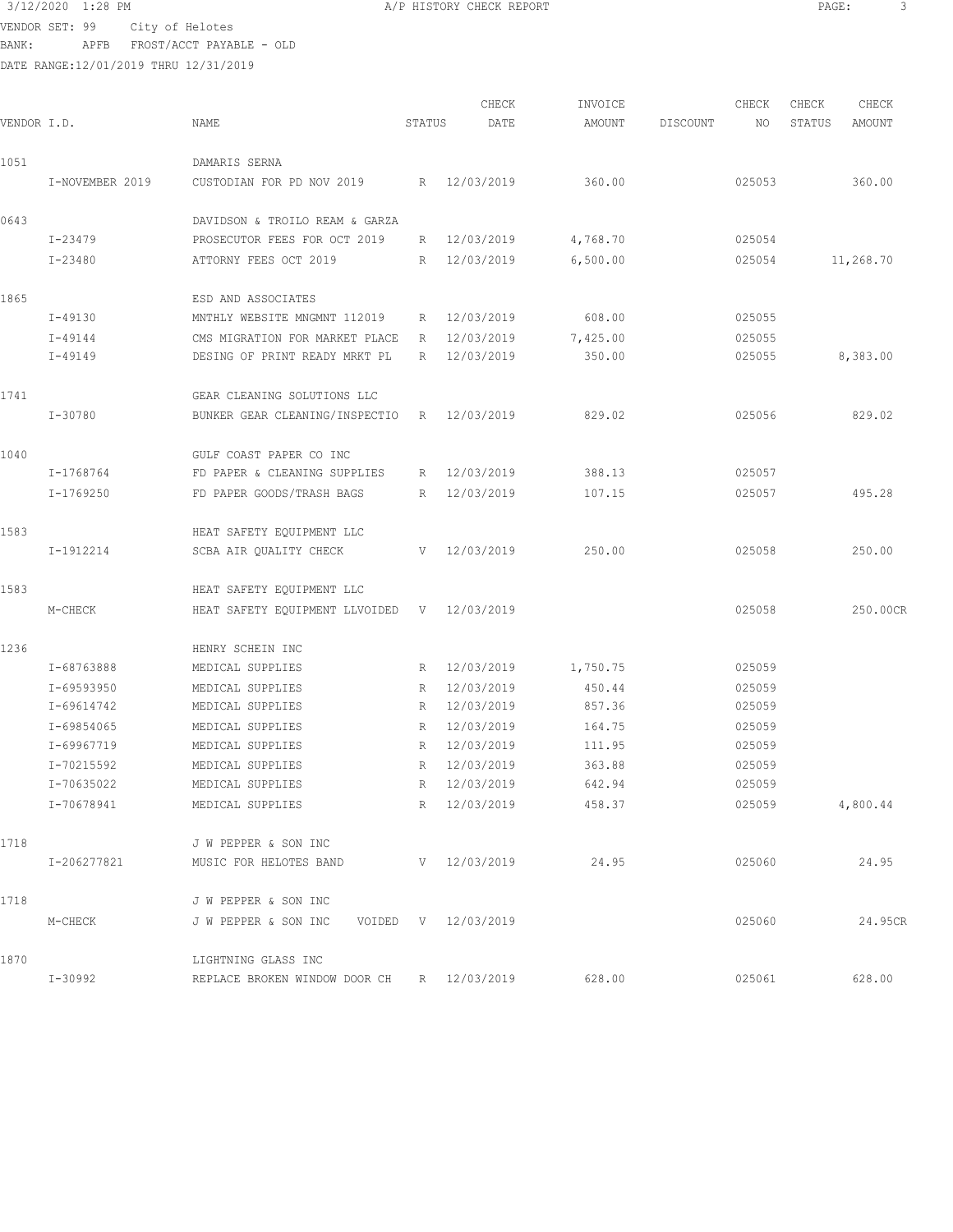$3/12/2020$  1:28 PM  $A/P$  HISTORY CHECK REPORT  $\overline{PAGE}$ : 3<br>VENDOR SET · 99  $\overline{OSE}$ : 3 VENDOR SET: 99 City of Helotes

BANK: APFB FROST/ACCT PAYABLE - OLD

|             |                 |                                            |        | CHECK        | INVOICE  |          | CHECK  | CHECK  | CHECK     |
|-------------|-----------------|--------------------------------------------|--------|--------------|----------|----------|--------|--------|-----------|
| VENDOR I.D. |                 | NAME                                       | STATUS | DATE         | AMOUNT   | DISCOUNT | NO     | STATUS | AMOUNT    |
| 1051        |                 | DAMARIS SERNA                              |        |              |          |          |        |        |           |
|             | I-NOVEMBER 2019 | CUSTODIAN FOR PD NOV 2019                  |        | R 12/03/2019 | 360.00   |          | 025053 |        | 360.00    |
| 0643        |                 | DAVIDSON & TROILO REAM & GARZA             |        |              |          |          |        |        |           |
|             | I-23479         | PROSECUTOR FEES FOR OCT 2019               | R      | 12/03/2019   | 4,768.70 |          | 025054 |        |           |
|             | I-23480         | ATTORNY FEES OCT 2019                      | R      | 12/03/2019   | 6,500.00 |          | 025054 |        | 11,268.70 |
| 1865        |                 | ESD AND ASSOCIATES                         |        |              |          |          |        |        |           |
|             | I-49130         | MNTHLY WEBSITE MNGMNT 112019               | R      | 12/03/2019   | 608.00   |          | 025055 |        |           |
|             | $I - 49144$     | CMS MIGRATION FOR MARKET PLACE             | R      | 12/03/2019   | 7,425.00 |          | 025055 |        |           |
|             | $I - 49149$     | DESING OF PRINT READY MRKT PL              | R      | 12/03/2019   | 350.00   |          | 025055 |        | 8,383.00  |
| 1741        |                 | GEAR CLEANING SOLUTIONS LLC                |        |              |          |          |        |        |           |
|             | $I - 30780$     | BUNKER GEAR CLEANING/INSPECTIO R           |        | 12/03/2019   | 829.02   |          | 025056 |        | 829.02    |
| 1040        |                 | GULF COAST PAPER CO INC                    |        |              |          |          |        |        |           |
|             | I-1768764       | FD PAPER & CLEANING SUPPLIES               | R      | 12/03/2019   | 388.13   |          | 025057 |        |           |
|             | I-1769250       | FD PAPER GOODS/TRASH BAGS                  | R      | 12/03/2019   | 107.15   |          | 025057 |        | 495.28    |
| 1583        |                 | HEAT SAFETY EQUIPMENT LLC                  |        |              |          |          |        |        |           |
|             | I-1912214       | SCBA AIR QUALITY CHECK                     | V      | 12/03/2019   | 250.00   |          | 025058 |        | 250.00    |
| 1583        |                 | HEAT SAFETY EQUIPMENT LLC                  |        |              |          |          |        |        |           |
|             | M-CHECK         | HEAT SAFETY EQUIPMENT LLVOIDED V           |        | 12/03/2019   |          |          | 025058 |        | 250.00CR  |
| 1236        |                 | HENRY SCHEIN INC                           |        |              |          |          |        |        |           |
|             | I-68763888      | MEDICAL SUPPLIES                           | R      | 12/03/2019   | 1,750.75 |          | 025059 |        |           |
|             | I-69593950      | MEDICAL SUPPLIES                           | R      | 12/03/2019   | 450.44   |          | 025059 |        |           |
|             | I-69614742      | MEDICAL SUPPLIES                           | R      | 12/03/2019   | 857.36   |          | 025059 |        |           |
|             | I-69854065      | MEDICAL SUPPLIES                           | R      | 12/03/2019   | 164.75   |          | 025059 |        |           |
|             | I-69967719      | MEDICAL SUPPLIES                           | R      | 12/03/2019   | 111.95   |          | 025059 |        |           |
|             | I-70215592      | MEDICAL SUPPLIES                           | R      | 12/03/2019   | 363.88   |          | 025059 |        |           |
|             | I-70635022      | MEDICAL SUPPLIES                           | R      | 12/03/2019   | 642.94   |          | 025059 |        |           |
|             | I-70678941      | MEDICAL SUPPLIES                           |        | R 12/03/2019 | 458.37   |          | 025059 |        | 4,800.44  |
| 1718        |                 | J W PEPPER & SON INC                       |        |              |          |          |        |        |           |
|             | I-206277821     | MUSIC FOR HELOTES BAND                     |        | V 12/03/2019 | 24.95    |          | 025060 |        | 24.95     |
| 1718        |                 | J W PEPPER & SON INC                       |        |              |          |          |        |        |           |
|             | M-CHECK         | J W PEPPER & SON INC VOIDED V 12/03/2019   |        |              |          |          | 025060 |        | 24.95CR   |
| 1870        |                 | LIGHTNING GLASS INC                        |        |              |          |          |        |        |           |
|             | I-30992         | REPLACE BROKEN WINDOW DOOR CH R 12/03/2019 |        |              | 628.00   |          | 025061 |        | 628.00    |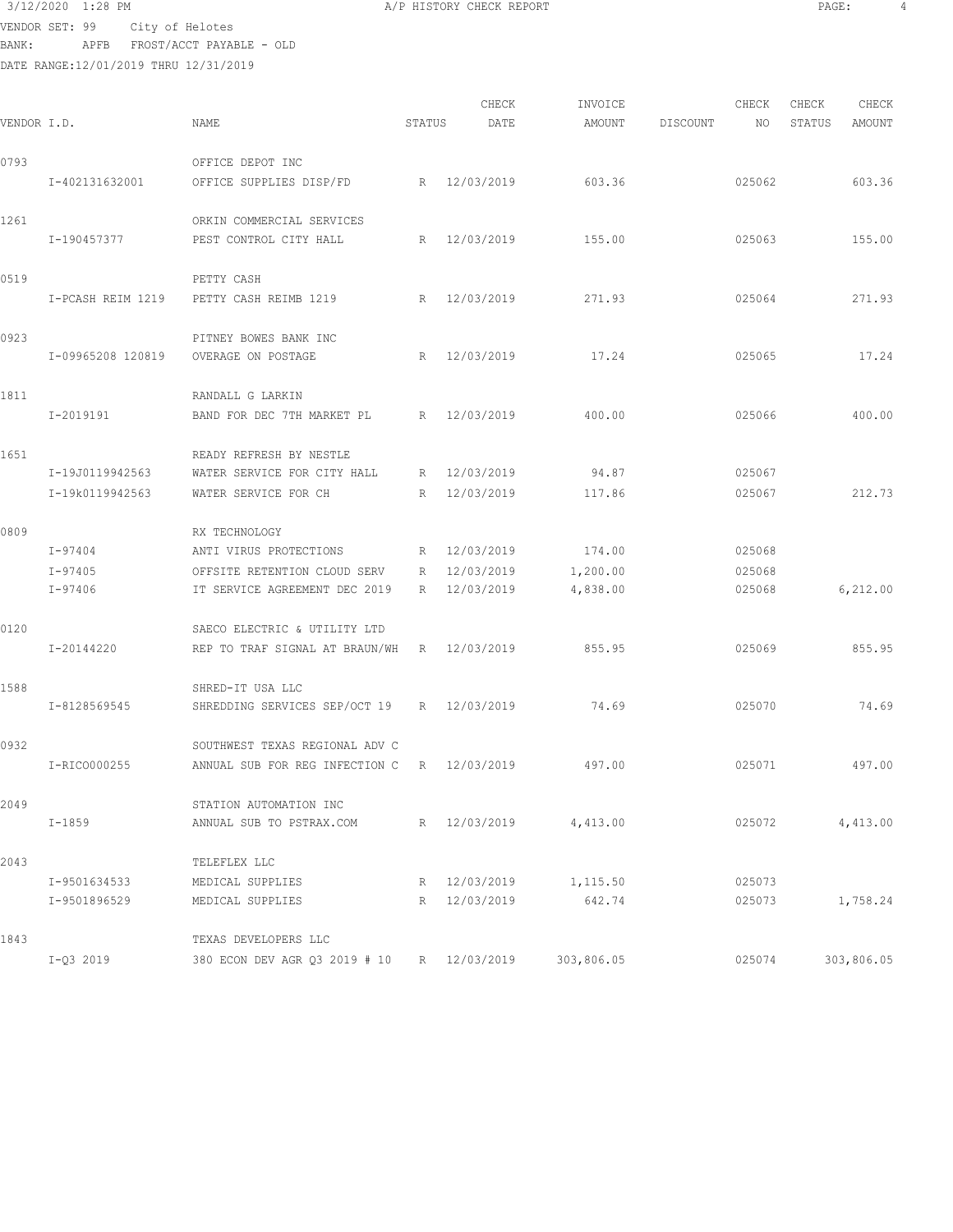# $3/12/2020$  1:28 PM  $A/P$  HISTORY CHECK REPORT PAGE:  $4$ VENDOR SET: 99 City of Helotes

BANK: APFB FROST/ACCT PAYABLE - OLD

| VENDOR I.D. |                   | NAME                                        | STATUS      | CHECK<br>DATE | INVOICE<br>AMOUNT | DISCOUNT | CHECK<br>NO | CHECK<br>STATUS | CHECK<br>AMOUNT |
|-------------|-------------------|---------------------------------------------|-------------|---------------|-------------------|----------|-------------|-----------------|-----------------|
| 0793        |                   | OFFICE DEPOT INC                            |             |               |                   |          |             |                 |                 |
|             | I-402131632001    | OFFICE SUPPLIES DISP/FD                     |             | R 12/03/2019  | 603.36            |          | 025062      |                 | 603.36          |
| 1261        |                   | ORKIN COMMERCIAL SERVICES                   |             |               |                   |          |             |                 |                 |
|             | I-190457377       | PEST CONTROL CITY HALL                      | R           | 12/03/2019    | 155.00            |          | 025063      |                 | 155.00          |
| 0519        |                   | PETTY CASH                                  |             |               |                   |          |             |                 |                 |
|             | I-PCASH REIM 1219 | PETTY CASH REIMB 1219                       |             | R 12/03/2019  | 271.93            |          | 025064      |                 | 271.93          |
| 0923        |                   | PITNEY BOWES BANK INC                       |             |               |                   |          |             |                 |                 |
|             | I-09965208 120819 | OVERAGE ON POSTAGE                          |             | R 12/03/2019  | 17.24             |          | 025065      |                 | 17.24           |
| 1811        |                   | RANDALL G LARKIN                            |             |               |                   |          |             |                 |                 |
|             | I-2019191         | BAND FOR DEC 7TH MARKET PL                  |             | R 12/03/2019  | 400.00            |          | 025066      |                 | 400.00          |
| 1651        |                   | READY REFRESH BY NESTLE                     |             |               |                   |          |             |                 |                 |
|             | I-19J0119942563   | WATER SERVICE FOR CITY HALL                 |             | R 12/03/2019  | 94.87             |          | 025067      |                 |                 |
|             | I-19k0119942563   | WATER SERVICE FOR CH                        | R           | 12/03/2019    | 117.86            |          | 025067      |                 | 212.73          |
| 0809        |                   | RX TECHNOLOGY                               |             |               |                   |          |             |                 |                 |
|             | $I - 97404$       | ANTI VIRUS PROTECTIONS                      | R           | 12/03/2019    | 174.00            |          | 025068      |                 |                 |
|             | $I - 97405$       | OFFSITE RETENTION CLOUD SERV                | R           | 12/03/2019    | 1,200.00          |          | 025068      |                 |                 |
|             | I-97406           | IT SERVICE AGREEMENT DEC 2019               | R           | 12/03/2019    | 4,838.00          |          | 025068      |                 | 6, 212.00       |
| 0120        |                   | SAECO ELECTRIC & UTILITY LTD                |             |               |                   |          |             |                 |                 |
|             | I-20144220        | REP TO TRAF SIGNAL AT BRAUN/WH R 12/03/2019 |             |               | 855.95            |          | 025069      |                 | 855.95          |
| 1588        |                   | SHRED-IT USA LLC                            |             |               |                   |          |             |                 |                 |
|             | I-8128569545      | SHREDDING SERVICES SEP/OCT 19 R 12/03/2019  |             |               | 74.69             |          | 025070      |                 | 74.69           |
| 0932        |                   | SOUTHWEST TEXAS REGIONAL ADV C              |             |               |                   |          |             |                 |                 |
|             | I-RICO000255      | ANNUAL SUB FOR REG INFECTION C              |             | R 12/03/2019  | 497.00            |          | 025071      |                 | 497.00          |
| 2049        |                   | STATION AUTOMATION INC                      |             |               |                   |          |             |                 |                 |
|             | $I - 1859$        | ANNUAL SUB TO PSTRAX.COM                    |             | R 12/03/2019  | 4,413.00          |          | 025072      |                 | 4,413.00        |
| 2043        |                   | TELEFLEX LLC                                |             |               |                   |          |             |                 |                 |
|             | I-9501634533      | MEDICAL SUPPLIES                            |             | R 12/03/2019  | 1,115.50          |          | 025073      |                 |                 |
|             | I-9501896529      | MEDICAL SUPPLIES                            | $R_{\perp}$ | 12/03/2019    | 642.74            |          | 025073      |                 | 1,758.24        |
| 1843        |                   | TEXAS DEVELOPERS LLC                        |             |               |                   |          |             |                 |                 |
|             | $I-Q3 2019$       | 380 ECON DEV AGR Q3 2019 # 10 R 12/03/2019  |             |               | 303,806.05        |          | 025074      |                 | 303,806.05      |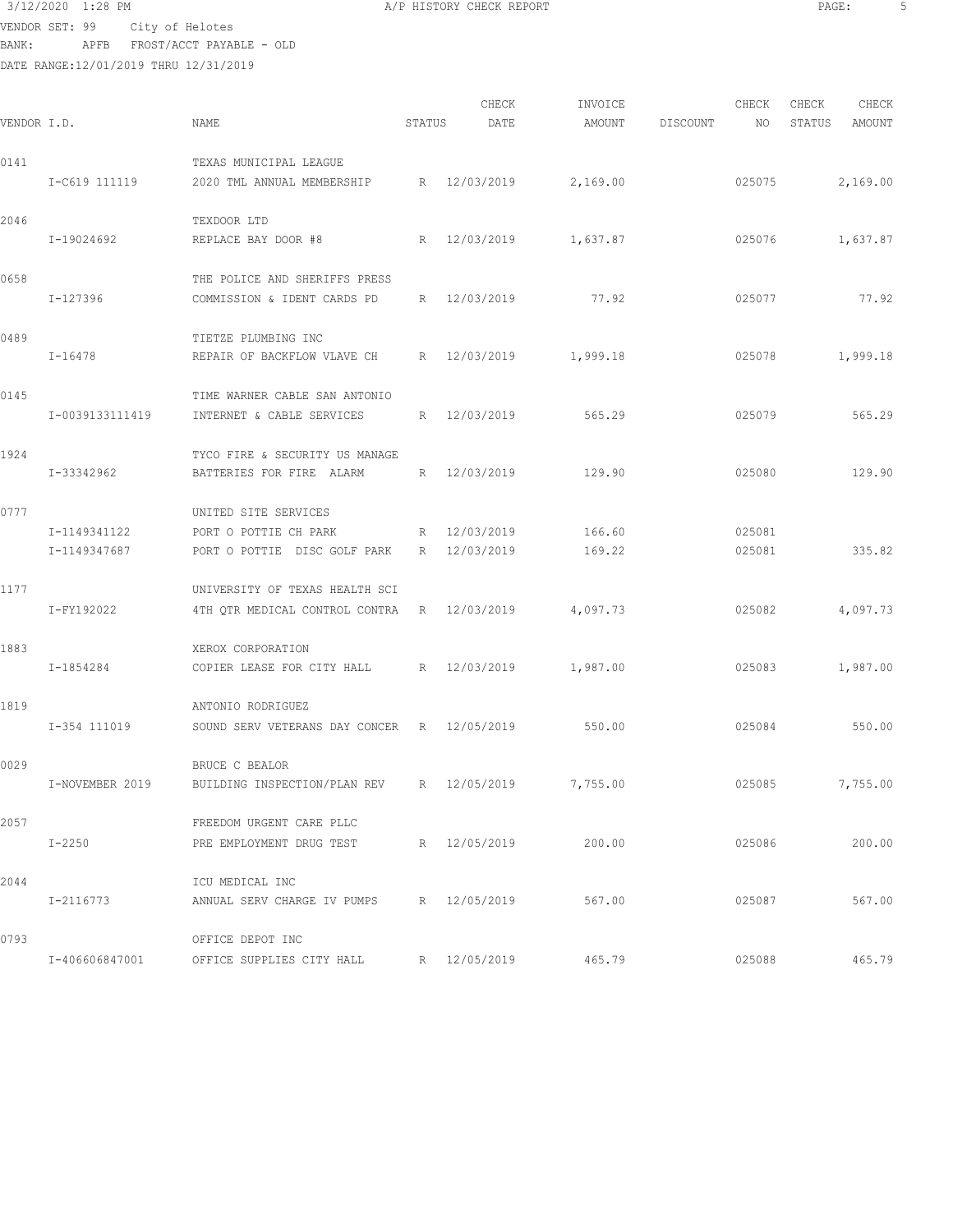VENDOR SET: 99 City of Helotes BANK: APFB FROST/ACCT PAYABLE - OLD

| VENDOR I.D. |                              | NAME                                                                          | STATUS          | CHECK<br>DATE            | INVOICE<br>AMOUNT | DISCOUNT | CHECK<br>NO      | CHECK<br>STATUS | CHECK<br>AMOUNT |
|-------------|------------------------------|-------------------------------------------------------------------------------|-----------------|--------------------------|-------------------|----------|------------------|-----------------|-----------------|
| 0141        |                              | TEXAS MUNICIPAL LEAGUE                                                        |                 |                          |                   |          |                  |                 |                 |
|             | I-C619 111119                | 2020 TML ANNUAL MEMBERSHIP                                                    |                 | R 12/03/2019             | 2,169.00          |          | 025075           |                 | 2,169.00        |
| 2046        | I-19024692                   | TEXDOOR LTD<br>REPLACE BAY DOOR #8                                            | R               | 12/03/2019               | 1,637.87          |          | 025076           |                 | 1,637.87        |
| 0658        | $I - 127396$                 | THE POLICE AND SHERIFFS PRESS<br>COMMISSION & IDENT CARDS PD                  | R               | 12/03/2019               | 77.92             |          | 025077           |                 | 77.92           |
| 0489        | $I - 16478$                  | TIETZE PLUMBING INC<br>REPAIR OF BACKFLOW VLAVE CH                            | R               | 12/03/2019               | 1,999.18          |          | 025078           |                 | 1,999.18        |
| 0145        | I-0039133111419              | TIME WARNER CABLE SAN ANTONIO<br>INTERNET & CABLE SERVICES                    | R               | 12/03/2019               | 565.29            |          | 025079           |                 | 565.29          |
| 1924        | I-33342962                   | TYCO FIRE & SECURITY US MANAGE<br>BATTERIES FOR FIRE ALARM                    | $R_{\parallel}$ | 12/03/2019               | 129.90            |          | 025080           |                 | 129.90          |
| 0777        | I-1149341122<br>I-1149347687 | UNITED SITE SERVICES<br>PORT O POTTIE CH PARK<br>PORT O POTTIE DISC GOLF PARK | R<br>R          | 12/03/2019<br>12/03/2019 | 166.60<br>169.22  |          | 025081<br>025081 |                 | 335.82          |
| 1177        | I-FY192022                   | UNIVERSITY OF TEXAS HEALTH SCI<br>4TH QTR MEDICAL CONTROL CONTRA              | $R_{\perp}$     | 12/03/2019               | 4,097.73          |          | 025082           |                 | 4,097.73        |
| 1883        | I-1854284                    | XEROX CORPORATION<br>COPIER LEASE FOR CITY HALL                               |                 | R 12/03/2019             | 1,987.00          |          | 025083           |                 | 1,987.00        |
| 1819        | I-354 111019                 | ANTONIO RODRIGUEZ<br>SOUND SERV VETERANS DAY CONCER R                         |                 | 12/05/2019               | 550.00            |          | 025084           |                 | 550.00          |
| 0029        | I-NOVEMBER 2019              | BRUCE C BEALOR<br>BUILDING INSPECTION/PLAN REV                                | R               | 12/05/2019               | 7,755.00          |          | 025085           |                 | 7,755.00        |
| 2057        | $I-2250$                     | FREEDOM URGENT CARE PLLC<br>PRE EMPLOYMENT DRUG TEST                          |                 | R 12/05/2019             | 200.00            |          | 025086           |                 | 200.00          |
| 2044        | I-2116773                    | ICU MEDICAL INC<br>ANNUAL SERV CHARGE IV PUMPS                                |                 | R 12/05/2019             | 567.00            |          | 025087           |                 | 567.00          |
| 0793        | I-406606847001               | OFFICE DEPOT INC<br>OFFICE SUPPLIES CITY HALL                                 |                 | R 12/05/2019             | 465.79            |          | 025088           |                 | 465.79          |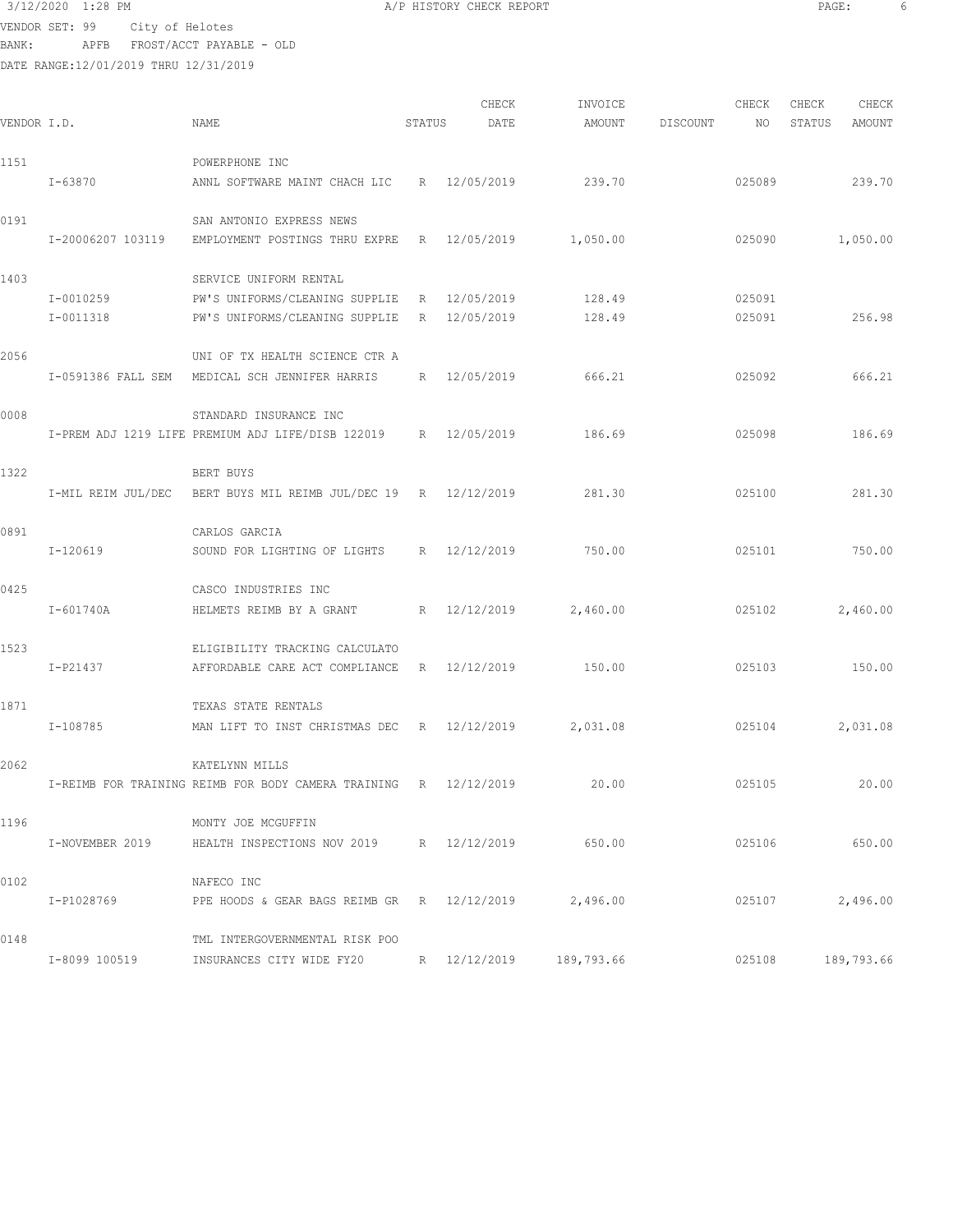VENDOR SET: 99 City of Helotes

BANK: APFB FROST/ACCT PAYABLE - OLD

| VENDOR I.D. |                        | NAME                                                                                       | STATUS          | CHECK<br>DATE            | INVOICE<br>AMOUNT | DISCOUNT | CHECK<br>NO      | CHECK<br>STATUS | CHECK<br>AMOUNT |
|-------------|------------------------|--------------------------------------------------------------------------------------------|-----------------|--------------------------|-------------------|----------|------------------|-----------------|-----------------|
| 1151        | $I - 63870$            | POWERPHONE INC<br>ANNL SOFTWARE MAINT CHACH LIC                                            |                 | R 12/05/2019             | 239.70            |          | 025089           |                 | 239.70          |
| 0191        | I-20006207 103119      | SAN ANTONIO EXPRESS NEWS<br>EMPLOYMENT POSTINGS THRU EXPRE                                 | $R_{\odot}$     | 12/05/2019               | 1,050.00          |          | 025090           |                 | 1,050.00        |
| 1403        | I-0010259<br>I-0011318 | SERVICE UNIFORM RENTAL<br>PW'S UNIFORMS/CLEANING SUPPLIE<br>PW'S UNIFORMS/CLEANING SUPPLIE | R<br>R          | 12/05/2019<br>12/05/2019 | 128.49<br>128.49  |          | 025091<br>025091 |                 | 256.98          |
| 2056        |                        | UNI OF TX HEALTH SCIENCE CTR A<br>I-0591386 FALL SEM MEDICAL SCH JENNIFER HARRIS           | R               | 12/05/2019               | 666.21            |          | 025092           |                 | 666.21          |
| 0008        |                        | STANDARD INSURANCE INC<br>I-PREM ADJ 1219 LIFE PREMIUM ADJ LIFE/DISB 122019                | R               | 12/05/2019               | 186.69            |          | 025098           |                 | 186.69          |
| 1322        | I-MIL REIM JUL/DEC     | BERT BUYS<br>BERT BUYS MIL REIMB JUL/DEC 19 R 12/12/2019                                   |                 |                          | 281.30            |          | 025100           |                 | 281.30          |
| 0891        | I-120619               | CARLOS GARCIA<br>SOUND FOR LIGHTING OF LIGHTS                                              |                 | R 12/12/2019             | 750.00            |          | 025101           |                 | 750.00          |
| 0425        | I-601740A              | CASCO INDUSTRIES INC<br>HELMETS REIMB BY A GRANT                                           | $R_{\parallel}$ | 12/12/2019               | 2,460.00          |          | 025102           |                 | 2,460.00        |
| 1523        | I-P21437               | ELIGIBILITY TRACKING CALCULATO<br>AFFORDABLE CARE ACT COMPLIANCE                           | R               | 12/12/2019               | 150.00            |          | 025103           |                 | 150.00          |
| 1871        | I-108785               | TEXAS STATE RENTALS<br>MAN LIFT TO INST CHRISTMAS DEC                                      |                 | R 12/12/2019             | 2,031.08          |          | 025104           |                 | 2,031.08        |
| 2062        |                        | KATELYNN MILLS<br>I-REIMB FOR TRAINING REIMB FOR BODY CAMERA TRAINING R 12/12/2019         |                 |                          | 20.00             |          | 025105           |                 | 20.00           |
| 1196        | I-NOVEMBER 2019        | MONTY JOE MCGUFFIN<br>HEALTH INSPECTIONS NOV 2019 R 12/12/2019                             |                 |                          | 650.00            |          | 025106           |                 | 650.00          |
| 0102        | I-P1028769             | NAFECO INC<br>PPE HOODS & GEAR BAGS REIMB GR $R = 12/12/2019$                              |                 |                          | 2,496.00          |          | 025107           |                 | 2,496.00        |
| 0148        | I-8099 100519          | TML INTERGOVERNMENTAL RISK POO<br>INSURANCES CITY WIDE FY20                                |                 | R 12/12/2019             | 189,793.66        |          | 025108           |                 | 189,793.66      |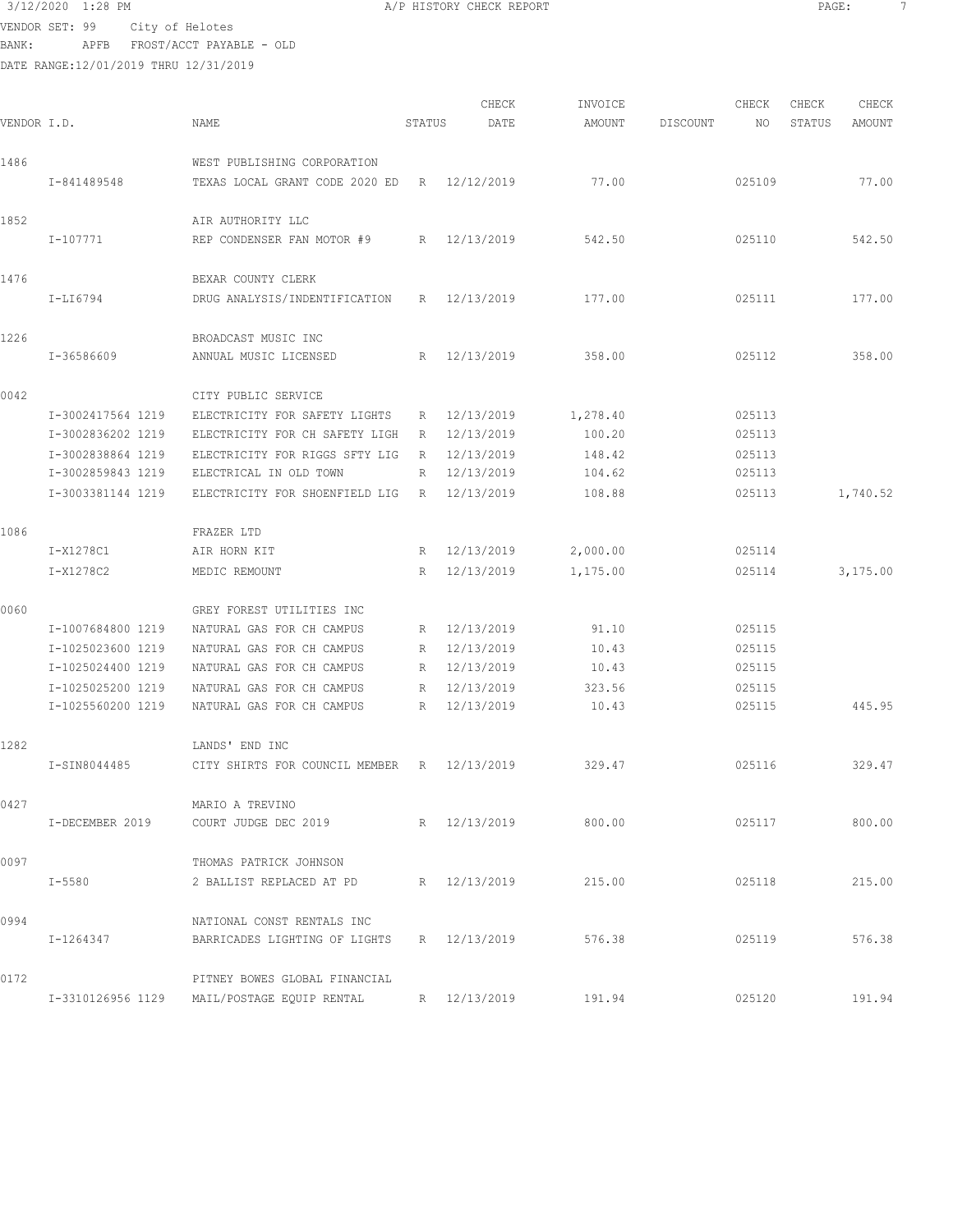$3/12/2020$  1:28 PM  $A/P$  HISTORY CHECK REPORT PAGE:  $7$ VENDOR SET: 99 City of Helotes

BANK: APFB FROST/ACCT PAYABLE - OLD

| VENDOR I.D. |                                                                                                       | NAME                                                                                                                                                                       | STATUS                | CHECK<br>DATE                                                      | INVOICE<br>AMOUNT                          | DISCOUNT | CHECK<br>NO                                    | CHECK<br>STATUS | CHECK<br>AMOUNT      |
|-------------|-------------------------------------------------------------------------------------------------------|----------------------------------------------------------------------------------------------------------------------------------------------------------------------------|-----------------------|--------------------------------------------------------------------|--------------------------------------------|----------|------------------------------------------------|-----------------|----------------------|
| 1486        | I-841489548                                                                                           | WEST PUBLISHING CORPORATION<br>TEXAS LOCAL GRANT CODE 2020 ED                                                                                                              | R                     | 12/12/2019                                                         | 77.00                                      |          | 025109                                         |                 | 77.00                |
| 1852        | $I - 107771$                                                                                          | AIR AUTHORITY LLC<br>REP CONDENSER FAN MOTOR #9                                                                                                                            | $R_{\parallel}$       | 12/13/2019                                                         | 542.50                                     |          | 025110                                         |                 | 542.50               |
| 1476        | I-LI6794                                                                                              | BEXAR COUNTY CLERK<br>DRUG ANALYSIS/INDENTIFICATION                                                                                                                        | R                     | 12/13/2019                                                         | 177.00                                     |          | 025111                                         |                 | 177.00               |
| 1226        | I-36586609                                                                                            | BROADCAST MUSIC INC<br>ANNUAL MUSIC LICENSED                                                                                                                               | R                     | 12/13/2019                                                         | 358.00                                     |          | 025112                                         |                 | 358.00               |
| 0042        | I-3002417564 1219<br>I-3002836202 1219<br>I-3002838864 1219<br>I-3002859843 1219                      | CITY PUBLIC SERVICE<br>ELECTRICITY FOR SAFETY LIGHTS<br>ELECTRICITY FOR CH SAFETY LIGH<br>ELECTRICITY FOR RIGGS SFTY LIG<br>ELECTRICAL IN OLD TOWN                         | R<br>R<br>R<br>R      | 12/13/2019<br>12/13/2019<br>12/13/2019<br>12/13/2019               | 1,278.40<br>100.20<br>148.42<br>104.62     |          | 025113<br>025113<br>025113<br>025113           |                 |                      |
| 1086        | I-3003381144 1219<br>I-X1278C1<br>I-X1278C2                                                           | ELECTRICITY FOR SHOENFIELD LIG<br>FRAZER LTD<br>AIR HORN KIT<br>MEDIC REMOUNT                                                                                              | R<br>R<br>R           | 12/13/2019<br>12/13/2019<br>12/13/2019                             | 108.88<br>2,000.00<br>1,175.00             |          | 025113<br>025114<br>025114                     |                 | 1,740.52<br>3,175.00 |
| 0060        | I-1007684800 1219<br>I-1025023600 1219<br>I-1025024400 1219<br>I-1025025200 1219<br>I-1025560200 1219 | GREY FOREST UTILITIES INC<br>NATURAL GAS FOR CH CAMPUS<br>NATURAL GAS FOR CH CAMPUS<br>NATURAL GAS FOR CH CAMPUS<br>NATURAL GAS FOR CH CAMPUS<br>NATURAL GAS FOR CH CAMPUS | R<br>R<br>R<br>R<br>R | 12/13/2019<br>12/13/2019<br>12/13/2019<br>12/13/2019<br>12/13/2019 | 91.10<br>10.43<br>10.43<br>323.56<br>10.43 |          | 025115<br>025115<br>025115<br>025115<br>025115 |                 | 445.95               |
| 1282        | I-SIN8044485                                                                                          | LANDS' END INC<br>CITY SHIRTS FOR COUNCIL MEMBER                                                                                                                           | R                     | 12/13/2019                                                         | 329.47                                     |          | 025116                                         |                 | 329.47               |
| 0427        | I-DECEMBER 2019                                                                                       | MARIO A TREVINO<br>COURT JUDGE DEC 2019                                                                                                                                    |                       | R 12/13/2019                                                       | 800.00                                     |          | 025117                                         |                 | 800.00               |
| 0097        | I-5580                                                                                                | THOMAS PATRICK JOHNSON<br>2 BALLIST REPLACED AT PD                                                                                                                         |                       | R 12/13/2019                                                       | 215.00                                     |          | 025118                                         |                 | 215.00               |
| 0994        | I-1264347                                                                                             | NATIONAL CONST RENTALS INC<br>BARRICADES LIGHTING OF LIGHTS R 12/13/2019                                                                                                   |                       |                                                                    | 576.38                                     |          | 025119                                         |                 | 576.38               |
| 0172        |                                                                                                       | PITNEY BOWES GLOBAL FINANCIAL<br>I-3310126956 1129 MAIL/POSTAGE EQUIP RENTAL                                                                                               |                       | R 12/13/2019                                                       | 191.94                                     |          | 025120                                         |                 | 191.94               |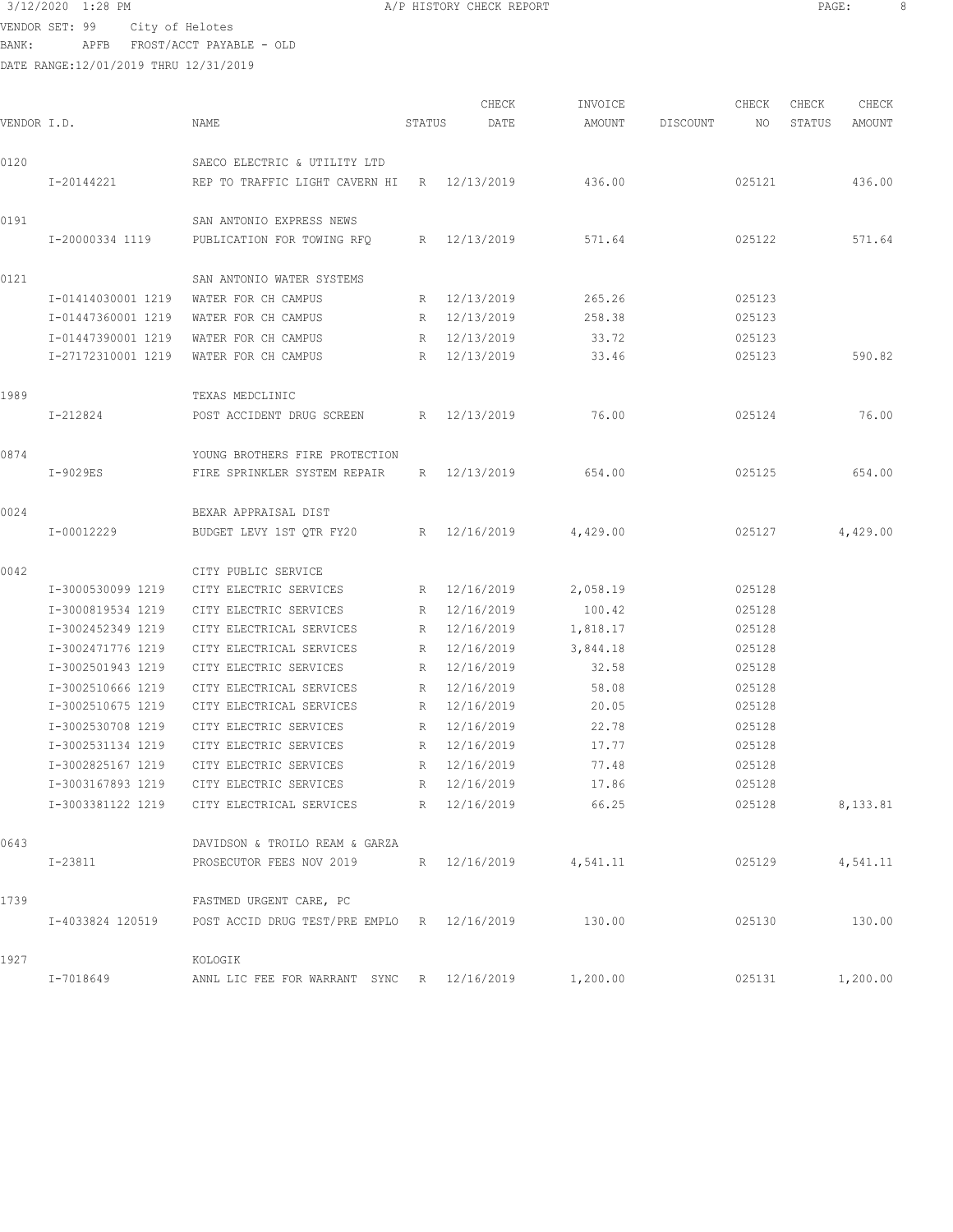$3/12/2020$  1:28 PM  $A/P$  HISTORY CHECK REPORT PAGE: 8<br>
PAGE: 8 VENDOR SET: 99 City of Helotes

BANK: APFB FROST/ACCT PAYABLE - OLD

|             |                    |                                                              |                 | CHECK        | INVOICE  |          | CHECK  | CHECK  | CHECK    |
|-------------|--------------------|--------------------------------------------------------------|-----------------|--------------|----------|----------|--------|--------|----------|
| VENDOR I.D. |                    | NAME                                                         | STATUS          | DATE         | AMOUNT   | DISCOUNT | NO     | STATUS | AMOUNT   |
| 0120        |                    | SAECO ELECTRIC & UTILITY LTD                                 |                 |              |          |          |        |        |          |
|             | I-20144221         | REP TO TRAFFIC LIGHT CAVERN HI                               | R               | 12/13/2019   | 436.00   |          | 025121 |        | 436.00   |
| 0191        |                    | SAN ANTONIO EXPRESS NEWS                                     |                 |              |          |          |        |        |          |
|             | I-20000334 1119    | PUBLICATION FOR TOWING RFQ                                   | R               | 12/13/2019   | 571.64   |          | 025122 |        | 571.64   |
| 0121        |                    | SAN ANTONIO WATER SYSTEMS                                    |                 |              |          |          |        |        |          |
|             | I-01414030001 1219 | WATER FOR CH CAMPUS                                          | R               | 12/13/2019   | 265.26   |          | 025123 |        |          |
|             | I-01447360001 1219 | WATER FOR CH CAMPUS                                          | R               | 12/13/2019   | 258.38   |          | 025123 |        |          |
|             | I-01447390001 1219 | WATER FOR CH CAMPUS                                          | R               | 12/13/2019   | 33.72    |          | 025123 |        |          |
|             | I-27172310001 1219 | WATER FOR CH CAMPUS                                          | R               | 12/13/2019   | 33.46    |          | 025123 |        | 590.82   |
| 1989        |                    | TEXAS MEDCLINIC                                              |                 |              |          |          |        |        |          |
|             | I-212824           | POST ACCIDENT DRUG SCREEN                                    | R               | 12/13/2019   | 76.00    |          | 025124 |        | 76.00    |
| 0874        |                    | YOUNG BROTHERS FIRE PROTECTION                               |                 |              |          |          |        |        |          |
|             | I-9029ES           | FIRE SPRINKLER SYSTEM REPAIR                                 | R               | 12/13/2019   | 654.00   |          | 025125 |        | 654.00   |
| 0024        |                    | BEXAR APPRAISAL DIST                                         |                 |              |          |          |        |        |          |
|             | I-00012229         | BUDGET LEVY 1ST QTR FY20                                     | $R_{\parallel}$ | 12/16/2019   | 4,429.00 |          | 025127 |        | 4,429.00 |
| 0042        |                    | CITY PUBLIC SERVICE                                          |                 |              |          |          |        |        |          |
|             | I-3000530099 1219  | CITY ELECTRIC SERVICES                                       | R               | 12/16/2019   | 2,058.19 |          | 025128 |        |          |
|             | I-3000819534 1219  | CITY ELECTRIC SERVICES                                       | R               | 12/16/2019   | 100.42   |          | 025128 |        |          |
|             | I-3002452349 1219  | CITY ELECTRICAL SERVICES                                     | R               | 12/16/2019   | 1,818.17 |          | 025128 |        |          |
|             | I-3002471776 1219  | CITY ELECTRICAL SERVICES                                     | R               | 12/16/2019   | 3,844.18 |          | 025128 |        |          |
|             | I-3002501943 1219  | CITY ELECTRIC SERVICES                                       | R               | 12/16/2019   | 32.58    |          | 025128 |        |          |
|             | I-3002510666 1219  | CITY ELECTRICAL SERVICES                                     | R               | 12/16/2019   | 58.08    |          | 025128 |        |          |
|             | I-3002510675 1219  | CITY ELECTRICAL SERVICES                                     | R               | 12/16/2019   | 20.05    |          | 025128 |        |          |
|             | I-3002530708 1219  | CITY ELECTRIC SERVICES                                       | R               | 12/16/2019   | 22.78    |          | 025128 |        |          |
|             | I-3002531134 1219  | CITY ELECTRIC SERVICES                                       | R               | 12/16/2019   | 17.77    |          | 025128 |        |          |
|             | I-3002825167 1219  | CITY ELECTRIC SERVICES                                       | R               | 12/16/2019   | 77.48    |          | 025128 |        |          |
|             | I-3003167893 1219  | CITY ELECTRIC SERVICES                                       | R               | 12/16/2019   | 17.86    |          | 025128 |        |          |
|             |                    | I-3003381122 1219 CITY ELECTRICAL SERVICES                   |                 | R 12/16/2019 | 66.25    |          | 025128 |        | 8,133.81 |
| 0643        |                    | DAVIDSON & TROILO REAM & GARZA                               |                 |              |          |          |        |        |          |
|             | I-23811            | PROSECUTOR FEES NOV 2019 R 12/16/2019 4,541.11               |                 |              |          |          |        | 025129 | 4,541.11 |
| 1739        |                    | FASTMED URGENT CARE, PC                                      |                 |              |          |          |        |        |          |
|             |                    | I-4033824 120519 POST ACCID DRUG TEST/PRE EMPLO R 12/16/2019 |                 |              | 130.00   |          | 025130 |        | 130.00   |
| 1927        |                    | KOLOGIK                                                      |                 |              |          |          |        |        |          |
|             | I-7018649          | ANNL LIC FEE FOR WARRANT SYNC R 12/16/2019 1,200.00          |                 |              |          |          | 025131 |        | 1,200.00 |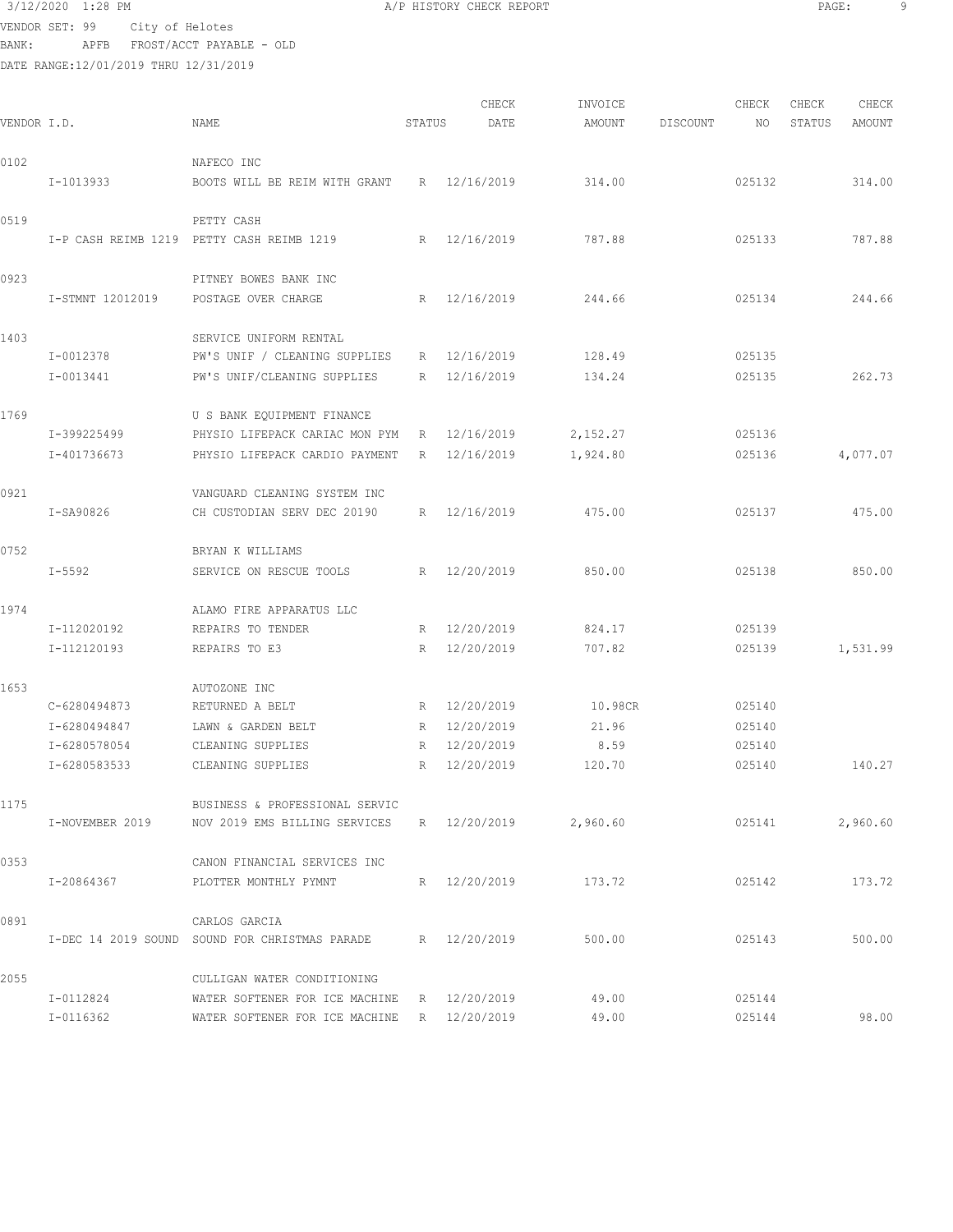# 3/12/2020 1:28 PM **A/P HISTORY CHECK REPORT PAGE:** 9 VENDOR SET: 99 City of Helotes

|        |      | <u>020, 0202000</u>      |
|--------|------|--------------------------|
| BANK : | APFB | FROST/ACCT PAYABLE - OLD |
|        |      |                          |

| DATE RANGE:12/01/2019 THRU 12/31/2019 |  |  |
|---------------------------------------|--|--|
|                                       |  |  |

| VENDOR I.D. |                            | NAME                                                                                           | STATUS      | CHECK<br>DATE              | INVOICE<br>AMOUNT    | DISCOUNT | CHECK<br>NO      | CHECK<br>STATUS | CHECK<br>AMOUNT |
|-------------|----------------------------|------------------------------------------------------------------------------------------------|-------------|----------------------------|----------------------|----------|------------------|-----------------|-----------------|
| 0102        |                            | NAFECO INC                                                                                     |             |                            |                      |          |                  |                 |                 |
|             | I-1013933                  | BOOTS WILL BE REIM WITH GRANT                                                                  |             | R 12/16/2019               | 314.00               |          | 025132           |                 | 314.00          |
| 0519        |                            | PETTY CASH<br>I-P CASH REIMB 1219 PETTY CASH REIMB 1219                                        |             | R 12/16/2019               | 787.88               |          | 025133           |                 | 787.88          |
| 0923        |                            | PITNEY BOWES BANK INC                                                                          |             |                            |                      |          |                  |                 |                 |
|             | I-STMNT 12012019           | POSTAGE OVER CHARGE                                                                            | R           | 12/16/2019                 | 244.66               |          | 025134           |                 | 244.66          |
| 1403        | I-0012378<br>I-0013441     | SERVICE UNIFORM RENTAL<br>PW'S UNIF / CLEANING SUPPLIES<br>PW'S UNIF/CLEANING SUPPLIES         | R           | R 12/16/2019<br>12/16/2019 | 128.49<br>134.24     |          | 025135<br>025135 |                 | 262.73          |
|             |                            |                                                                                                |             |                            |                      |          |                  |                 |                 |
| 1769        | I-399225499<br>I-401736673 | U S BANK EQUIPMENT FINANCE<br>PHYSIO LIFEPACK CARIAC MON PYM<br>PHYSIO LIFEPACK CARDIO PAYMENT | R<br>R      | 12/16/2019<br>12/16/2019   | 2,152.27<br>1,924.80 |          | 025136<br>025136 |                 | 4,077.07        |
| 0921        | I-SA90826                  | VANGUARD CLEANING SYSTEM INC<br>CH CUSTODIAN SERV DEC 20190                                    |             | R 12/16/2019               | 475.00               |          | 025137           |                 | 475.00          |
|             |                            |                                                                                                |             |                            |                      |          |                  |                 |                 |
| 0752        | $I - 5592$                 | BRYAN K WILLIAMS<br>SERVICE ON RESCUE TOOLS                                                    | $R_{\odot}$ | 12/20/2019                 | 850.00               |          | 025138           |                 | 850.00          |
| 1974        |                            | ALAMO FIRE APPARATUS LLC                                                                       |             |                            |                      |          |                  |                 |                 |
|             | I-112020192                | REPAIRS TO TENDER                                                                              | R           | 12/20/2019                 | 824.17               |          | 025139           |                 |                 |
|             | I-112120193                | REPAIRS TO E3                                                                                  | R           | 12/20/2019                 | 707.82               |          | 025139           |                 | 1,531.99        |
| 1653        |                            | AUTOZONE INC                                                                                   |             |                            |                      |          |                  |                 |                 |
|             | $C - 6280494873$           | RETURNED A BELT                                                                                |             | R 12/20/2019               | 10.98CR              |          | 025140           |                 |                 |
|             | I-6280494847               | LAWN & GARDEN BELT                                                                             |             | R 12/20/2019               | 21.96                |          | 025140           |                 |                 |
|             | I-6280578054               | CLEANING SUPPLIES                                                                              | R           | 12/20/2019                 | 8.59                 |          | 025140           |                 |                 |
|             | I-6280583533               | CLEANING SUPPLIES                                                                              | R           | 12/20/2019                 | 120.70               |          | 025140           |                 | 140.27          |
| 1175        | I-NOVEMBER 2019            | BUSINESS & PROFESSIONAL SERVIC<br>NOV 2019 EMS BILLING SERVICES R 12/20/2019 2,960.60          |             |                            |                      |          | 025141           |                 | 2,960.60        |
| 0353        |                            | CANON FINANCIAL SERVICES INC                                                                   |             |                            |                      |          |                  |                 |                 |
|             | I-20864367                 | PLOTTER MONTHLY PYMNT                                                                          |             | R 12/20/2019               | 173.72               |          | 025142           |                 | 173.72          |
| 0891        |                            | CARLOS GARCIA<br>I-DEC 14 2019 SOUND SOUND FOR CHRISTMAS PARADE                                |             | R 12/20/2019               | 500.00               |          | 025143           |                 | 500.00          |
| 2055        |                            | CULLIGAN WATER CONDITIONING                                                                    |             |                            |                      |          |                  |                 |                 |
|             | I-0112824                  | WATER SOFTENER FOR ICE MACHINE R 12/20/2019                                                    |             |                            | 49.00                |          | 025144           |                 |                 |
|             | I-0116362                  | WATER SOFTENER FOR ICE MACHINE                                                                 |             | R 12/20/2019               | 49.00                |          | 025144           |                 | 98.00           |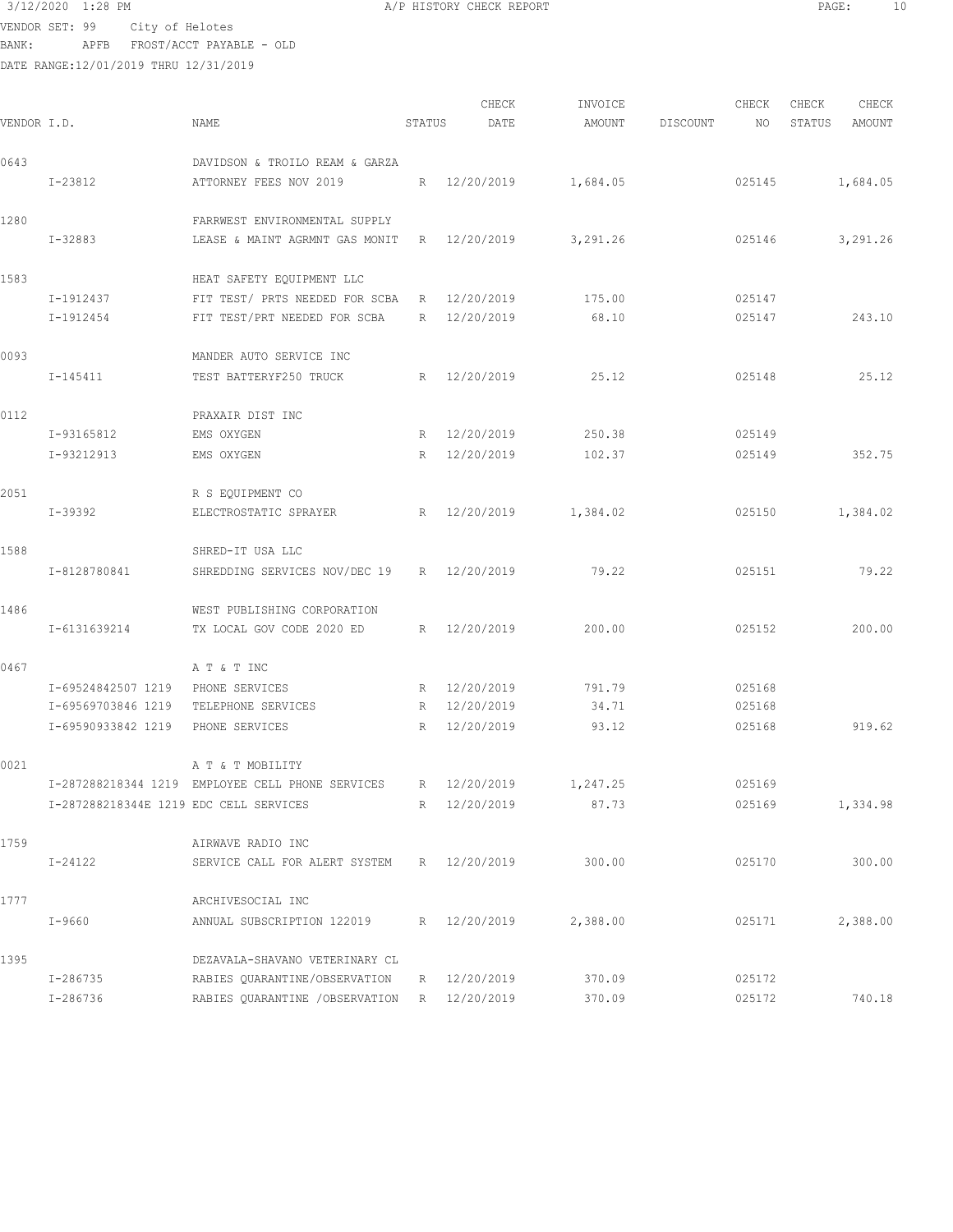VENDOR SET: 99 City of Helotes

BANK: APFB FROST/ACCT PAYABLE - OLD

|             |                                        |                                                  |                 | CHECK        | INVOICE  |          | CHECK  | CHECK  | CHECK    |
|-------------|----------------------------------------|--------------------------------------------------|-----------------|--------------|----------|----------|--------|--------|----------|
| VENDOR I.D. |                                        | NAME                                             | STATUS          | DATE         | AMOUNT   | DISCOUNT | NO.    | STATUS | AMOUNT   |
| 0643        |                                        | DAVIDSON & TROILO REAM & GARZA                   |                 |              |          |          |        |        |          |
|             | I-23812                                | ATTORNEY FEES NOV 2019                           | R               | 12/20/2019   | 1,684.05 |          | 025145 |        | 1,684.05 |
| 1280        |                                        | FARRWEST ENVIRONMENTAL SUPPLY                    |                 |              |          |          |        |        |          |
|             | I-32883                                | LEASE & MAINT AGRMNT GAS MONIT                   | R               | 12/20/2019   | 3,291.26 |          | 025146 |        | 3,291.26 |
| 1583        |                                        | HEAT SAFETY EQUIPMENT LLC                        |                 |              |          |          |        |        |          |
|             | I-1912437                              | FIT TEST/ PRTS NEEDED FOR SCBA                   | R               | 12/20/2019   | 175.00   |          | 025147 |        |          |
|             | I-1912454                              | FIT TEST/PRT NEEDED FOR SCBA                     | $R_{\parallel}$ | 12/20/2019   | 68.10    |          | 025147 |        | 243.10   |
| 0093        |                                        | MANDER AUTO SERVICE INC                          |                 |              |          |          |        |        |          |
|             | I-145411                               | TEST BATTERYF250 TRUCK                           | R               | 12/20/2019   | 25.12    |          | 025148 |        | 25.12    |
| 0112        |                                        | PRAXAIR DIST INC                                 |                 |              |          |          |        |        |          |
|             | I-93165812                             | EMS OXYGEN                                       | R               | 12/20/2019   | 250.38   |          | 025149 |        |          |
|             | I-93212913                             | EMS OXYGEN                                       | R               | 12/20/2019   | 102.37   |          | 025149 |        | 352.75   |
| 2051        |                                        | R S EQUIPMENT CO                                 |                 |              |          |          |        |        |          |
|             | $I-39392$                              | ELECTROSTATIC SPRAYER                            | R               | 12/20/2019   | 1,384.02 |          | 025150 |        | 1,384.02 |
| 1588        |                                        | SHRED-IT USA LLC                                 |                 |              |          |          |        |        |          |
|             | I-8128780841                           | SHREDDING SERVICES NOV/DEC 19                    |                 | R 12/20/2019 | 79.22    |          | 025151 |        | 79.22    |
| 1486        |                                        | WEST PUBLISHING CORPORATION                      |                 |              |          |          |        |        |          |
|             | I-6131639214                           | TX LOCAL GOV CODE 2020 ED                        | R               | 12/20/2019   | 200.00   |          | 025152 |        | 200.00   |
| 0467        |                                        | A T & T INC                                      |                 |              |          |          |        |        |          |
|             | I-69524842507 1219                     | PHONE SERVICES                                   |                 | R 12/20/2019 | 791.79   |          | 025168 |        |          |
|             | I-69569703846 1219                     | TELEPHONE SERVICES                               |                 | R 12/20/2019 | 34.71    |          | 025168 |        |          |
|             | I-69590933842 1219                     | PHONE SERVICES                                   | R               | 12/20/2019   | 93.12    |          | 025168 |        | 919.62   |
| 0021        |                                        | A T & T MOBILITY                                 |                 |              |          |          |        |        |          |
|             |                                        | I-287288218344 1219 EMPLOYEE CELL PHONE SERVICES |                 | R 12/20/2019 | 1,247.25 |          | 025169 |        |          |
|             | I-287288218344E 1219 EDC CELL SERVICES |                                                  |                 | R 12/20/2019 | 87.73    |          | 025169 |        | 1,334.98 |
| 1759        |                                        | AIRWAVE RADIO INC                                |                 |              |          |          |        |        |          |
|             | I-24122                                | SERVICE CALL FOR ALERT SYSTEM                    | R               | 12/20/2019   | 300.00   |          | 025170 |        | 300.00   |
| 1777        |                                        | ARCHIVESOCIAL INC                                |                 |              |          |          |        |        |          |
|             | $I - 9660$                             | ANNUAL SUBSCRIPTION 122019                       |                 | R 12/20/2019 | 2,388.00 |          | 025171 |        | 2,388.00 |
| 1395        |                                        | DEZAVALA-SHAVANO VETERINARY CL                   |                 |              |          |          |        |        |          |
|             | $I - 286735$                           | RABIES QUARANTINE/OBSERVATION                    | R               | 12/20/2019   | 370.09   |          | 025172 |        |          |
|             | $I - 286736$                           | RABIES QUARANTINE /OBSERVATION                   | R               | 12/20/2019   | 370.09   |          | 025172 |        | 740.18   |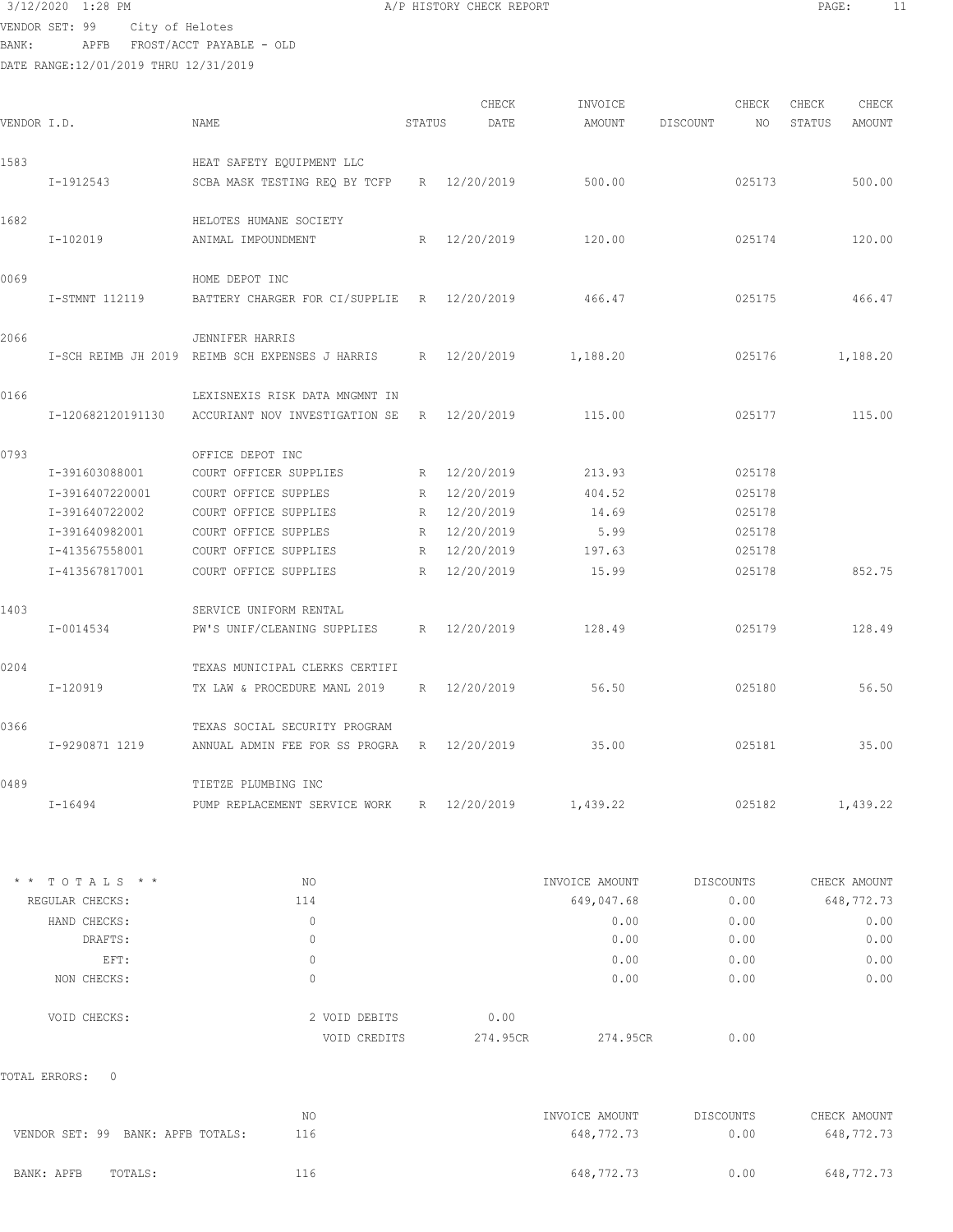3/12/2020 1:28 PM **A/P HISTORY CHECK REPORT** PAGE: 11 VENDOR SET: 99 City of Helotes

BANK: APFB FROST/ACCT PAYABLE - OLD

DATE RANGE:12/01/2019 THRU 12/31/2019

| 1583 |                                   | HEAT SAFETY EQUIPMENT LLC                                    |                     |                |                  |              |
|------|-----------------------------------|--------------------------------------------------------------|---------------------|----------------|------------------|--------------|
|      | I-1912543                         | SCBA MASK TESTING REQ BY TCFP R 12/20/2019                   |                     | 500.00         | 025173           | 500.00       |
| 1682 |                                   | HELOTES HUMANE SOCIETY                                       |                     |                |                  |              |
|      | I-102019                          | ANIMAL IMPOUNDMENT                                           | R 12/20/2019 120.00 |                | 025174           | 120.00       |
| 0069 |                                   | HOME DEPOT INC                                               |                     |                |                  |              |
|      | I-STMNT 112119                    | BATTERY CHARGER FOR CI/SUPPLIE R 12/20/2019                  |                     | 466.47         | 025175           | 466.47       |
| 2066 |                                   | JENNIFER HARRIS                                              |                     |                |                  |              |
|      |                                   | I-SCH REIMB JH 2019 REIMB SCH EXPENSES J HARRIS R 12/20/2019 |                     | 1,188.20       | 025176           | 1,188.20     |
| 0166 |                                   | LEXISNEXIS RISK DATA MNGMNT IN                               |                     |                |                  |              |
|      | I-120682120191130                 | ACCURIANT NOV INVESTIGATION SE R 12/20/2019                  |                     | 115.00         | 025177           | 115.00       |
| 0793 |                                   | OFFICE DEPOT INC                                             |                     |                |                  |              |
|      | I-391603088001                    | COURT OFFICER SUPPLIES                                       | R 12/20/2019        | 213.93         | 025178           |              |
|      | I-3916407220001                   | COURT OFFICE SUPPLES                                         | R 12/20/2019        | 404.52         | 025178           |              |
|      | I-391640722002                    | COURT OFFICE SUPPLIES                                        | R 12/20/2019        | 14.69          | 025178           |              |
|      | I-391640982001                    | COURT OFFICE SUPPLES                                         | R 12/20/2019        | 5.99           | 025178           |              |
|      | I-413567558001                    | COURT OFFICE SUPPLIES                                        | R 12/20/2019        | 197.63         | 025178           |              |
|      | I-413567817001                    | COURT OFFICE SUPPLIES                                        | R 12/20/2019        | 15.99          | 025178           | 852.75       |
| 1403 |                                   | SERVICE UNIFORM RENTAL                                       |                     |                |                  |              |
|      | I-0014534                         | PW'S UNIF/CLEANING SUPPLIES R 12/20/2019                     |                     | 128.49         | 025179           | 128.49       |
| 0204 |                                   | TEXAS MUNICIPAL CLERKS CERTIFI                               |                     |                |                  |              |
|      | I-120919                          | TX LAW & PROCEDURE MANL 2019                                 | R 12/20/2019        | 56.50          | 025180           | 56.50        |
| 0366 |                                   | TEXAS SOCIAL SECURITY PROGRAM                                |                     |                |                  |              |
|      | I-9290871 1219                    | ANNUAL ADMIN FEE FOR SS PROGRA R 12/20/2019                  |                     | 35.00          | 025181           | 35.00        |
| 0489 |                                   | TIETZE PLUMBING INC                                          |                     |                |                  |              |
|      | I-16494                           | PUMP REPLACEMENT SERVICE WORK R 12/20/2019                   |                     | 1,439.22       | 025182           | 1,439.22     |
|      | * * TOTALS * *                    | NO.                                                          |                     | INVOICE AMOUNT | <b>DISCOUNTS</b> | CHECK AMOUNT |
|      | REGULAR CHECKS:                   | 114                                                          |                     | 649,047.68     | 0.00             | 648, 772. 73 |
|      | HAND CHECKS:                      | $\circ$                                                      |                     | 0.00           | 0.00             | 0.00         |
|      | DRAFTS:                           | $\circ$                                                      |                     | 0.00           | 0.00             | 0.00         |
|      | EFT:                              | $\circ$                                                      |                     | 0.00           | 0.00             | 0.00         |
|      | NON CHECKS:                       | $\circ$                                                      |                     | 0.00           | 0.00             | 0.00         |
|      |                                   |                                                              |                     |                |                  |              |
|      | VOID CHECKS:                      | 2 VOID DEBITS                                                | 0.00                |                |                  |              |
|      |                                   | VOID CREDITS                                                 | 274.95CR            | 274.95CR       | 0.00             |              |
|      | TOTAL ERRORS:<br>0                |                                                              |                     |                |                  |              |
|      |                                   | NO.                                                          |                     | INVOICE AMOUNT | DISCOUNTS        | CHECK AMOUNT |
|      | VENDOR SET: 99 BANK: APFB TOTALS: | 116                                                          |                     | 648,772.73     | 0.00             | 648,772.73   |
|      | BANK: APFB<br>TOTALS:             | 116                                                          |                     | 648, 772. 73   | 0.00             | 648,772.73   |
|      |                                   |                                                              |                     |                |                  |              |

CHECK TINVOICE CHECK CHECK CHECK CHECK CHECK VENDOR I.D. NAME STATUS DATE AMOUNT DISCOUNT NO STATUS AMOUNT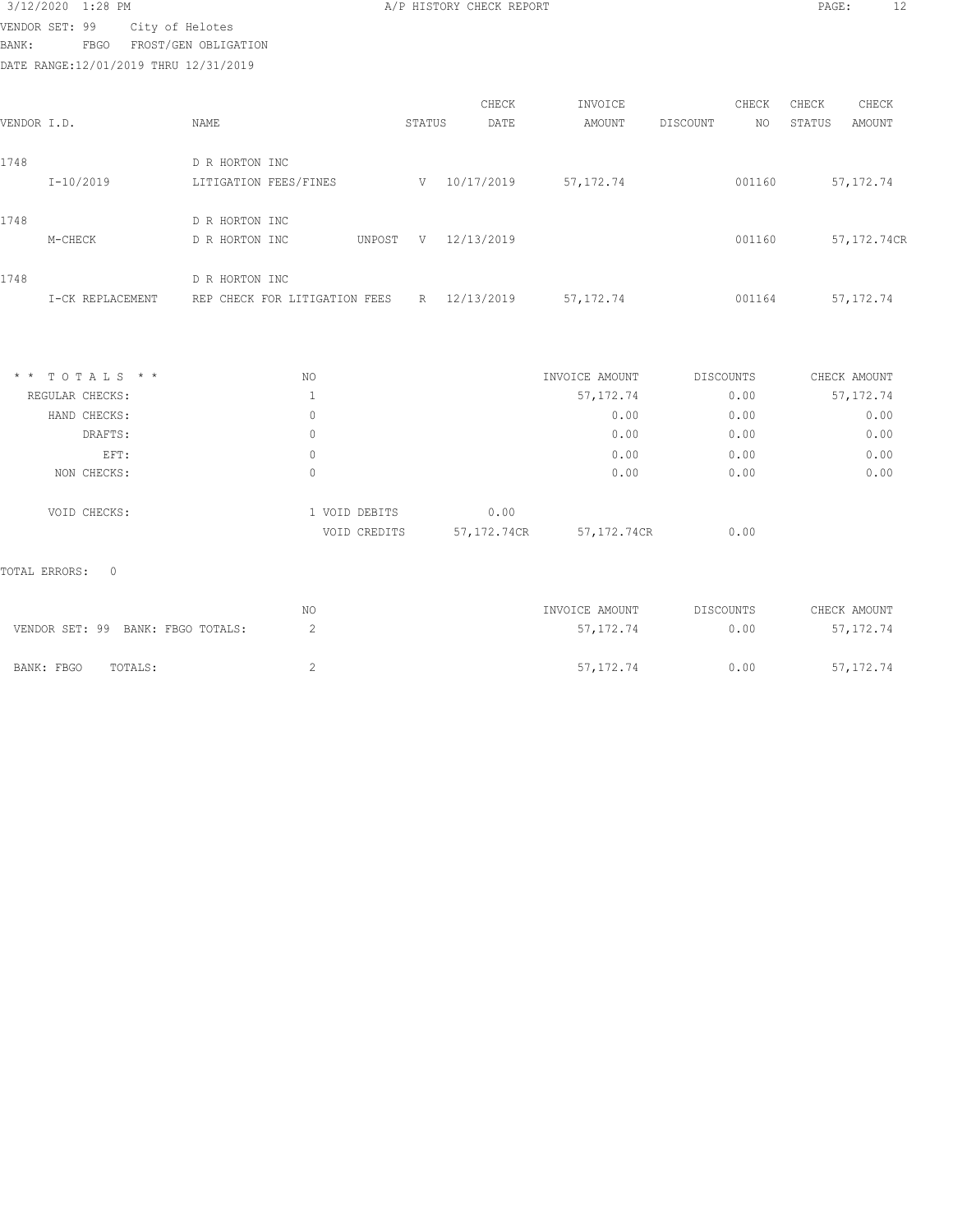# 3/12/2020 1:28 PM **A/P HISTORY CHECK REPORT PAGE:** 12 VENDOR SET: 99 City of Helotes

BANK: FBGO FROST/GEN OBLIGATION

DATE RANGE:12/01/2019 THRU 12/31/2019

|             |                  |                               |        |        | CHECK      | INVOICE     |          | CHECK  | CHECK  | CHECK       |
|-------------|------------------|-------------------------------|--------|--------|------------|-------------|----------|--------|--------|-------------|
| VENDOR I.D. |                  | NAME                          |        | STATUS | DATE       | AMOUNT      | DISCOUNT | NO.    | STATUS | AMOUNT      |
| 1748        |                  | D R HORTON INC                |        |        |            |             |          |        |        |             |
|             | $I-10/2019$      | LITIGATION FEES/FINES         |        | V      | 10/17/2019 | 57, 172. 74 |          | 001160 |        | 57, 172. 74 |
| 1748        |                  | D R HORTON INC                |        |        |            |             |          |        |        |             |
|             | M-CHECK          | D R HORTON INC                | UNPOST | V      | 12/13/2019 |             |          | 001160 |        | 57,172.74CR |
| 1748        |                  | D R HORTON INC                |        |        |            |             |          |        |        |             |
|             | I-CK REPLACEMENT | REP CHECK FOR LITIGATION FEES |        | R      | 12/13/2019 | 57, 172. 74 |          | 001164 |        | 57, 172. 74 |
|             |                  |                               |        |        |            |             |          |        |        |             |

| $*$ * TOTALS * * | NO |               |               | INVOICE AMOUNT | DISCOUNTS | CHECK AMOUNT |
|------------------|----|---------------|---------------|----------------|-----------|--------------|
| REGULAR CHECKS:  |    |               |               | 57, 172.74     | 0.00      | 57, 172.74   |
| HAND CHECKS:     | 0  |               |               | 0.00           | 0.00      | 0.00         |
| DRAFTS:          | 0  |               |               | 0.00           | 0.00      | 0.00         |
| EFT:             | 0  |               |               | 0.00           | 0.00      | 0.00         |
| NON CHECKS:      |    |               |               | 0.00           | 0.00      | 0.00         |
| VOID CHECKS:     |    | 1 VOID DEBITS | 0.00          |                |           |              |
|                  |    | VOID CREDITS  | 57, 172, 74CR | 57,172.74CR    | 0.00      |              |

|                                   | NO. | INVOICE AMOUNT | DISCOUNTS | CHECK AMOUNT |
|-----------------------------------|-----|----------------|-----------|--------------|
| VENDOR SET: 99 BANK: FBGO TOTALS: |     | 57, 172, 74    | 0.00      | 57, 172. 74  |
| BANK: FBGO<br>TOTALS:             |     | 57, 172, 74    | 0.00      | 57, 172. 74  |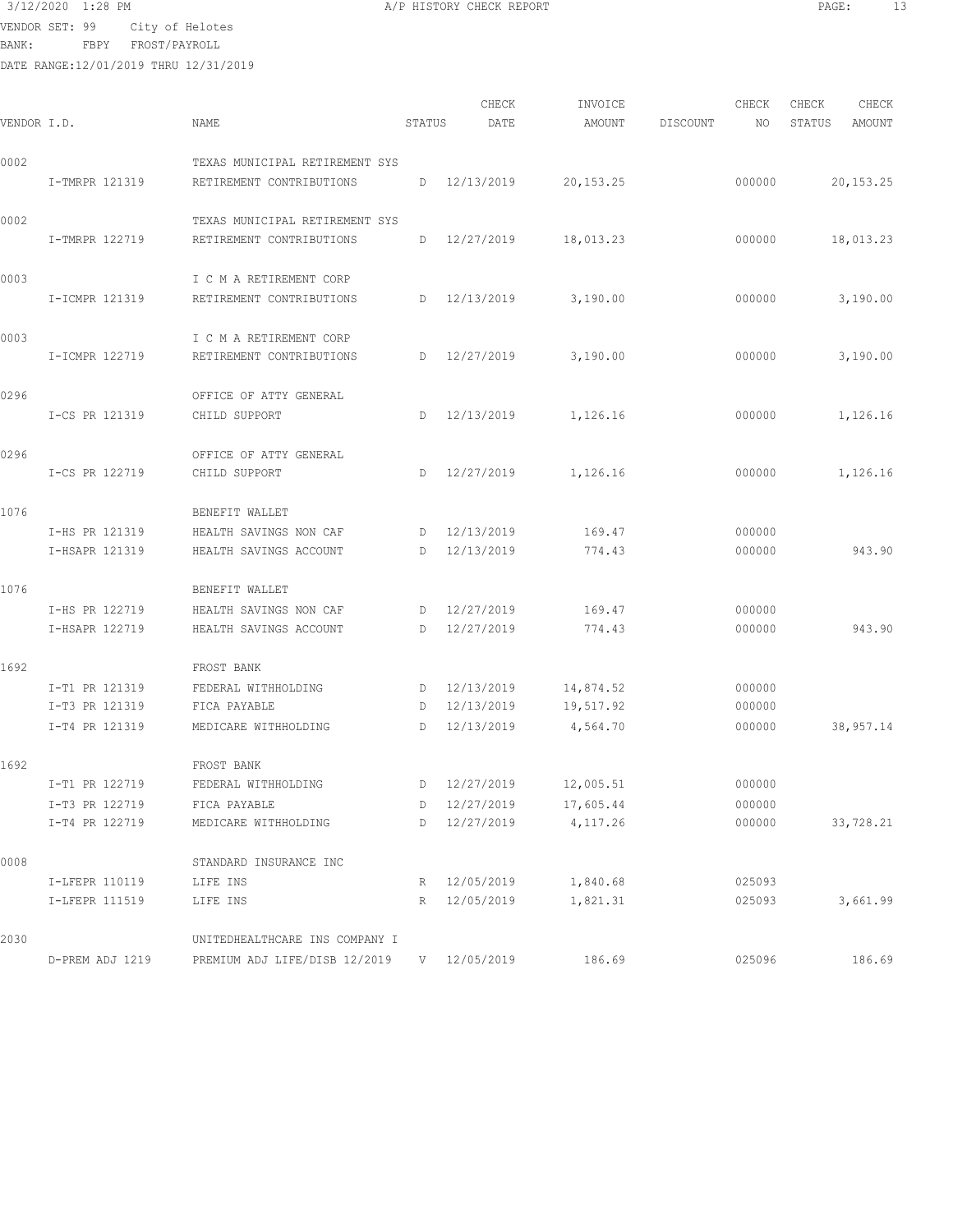VENDOR SET: 99 City of Helotes

BANK: FBPY FROST/PAYROLL

DATE RANGE:12/01/2019 THRU 12/31/2019

CHECK INVOICE CHECK CHECK CHECK VENDOR I.D. NAME STATUS DATE AMOUNT DISCOUNT NO STATUS AMOUNT 0002 TEXAS MUNICIPAL RETIREMENT SYS I-TMRPR 121319 RETIREMENT CONTRIBUTIONS D 12/13/2019 20,153.25 000000 20,153.25 0002 TEXAS MUNICIPAL RETIREMENT SYS I-TMRPR 122719 RETIREMENT CONTRIBUTIONS D 12/27/2019 18,013.23 000000 18,013.23 0003 I C M A RETIREMENT CORP I-ICMPR 121319 RETIREMENT CONTRIBUTIONS D 12/13/2019 3,190.00 000000 3,190.00 0003 I C M A RETIREMENT CORP I-ICMPR 122719 RETIREMENT CONTRIBUTIONS D 12/27/2019 3,190.00 000000 3,190.00 0296 OFFICE OF ATTY GENERAL I-CS PR 121319 CHILD SUPPORT D 12/13/2019 1,126.16 000000 1,126.16 0296 OFFICE OF ATTY GENERAL I-CS PR 122719 CHILD SUPPORT D 12/27/2019 1,126.16 000000 1,126.16 1076 BENEFIT WALLET I-HS PR 121319 HEALTH SAVINGS NON CAF D 12/13/2019 169.47 000000 I-HSAPR 121319 HEALTH SAVINGS ACCOUNT D 12/13/2019 774.43 000000 943.90 1076 BENEFIT WALLET I-HS PR 122719 HEALTH SAVINGS NON CAF D 12/27/2019 169.47 000000 I-HSAPR 122719 HEALTH SAVINGS ACCOUNT D 12/27/2019 774.43 000000 943.90 1692 FROST BANK I-T1 PR 121319 FEDERAL WITHHOLDING D 12/13/2019 14,874.52 000000 I-T3 PR 121319 FICA PAYABLE D 12/13/2019 19,517.92 000000 I-T4 PR 121319 MEDICARE WITHHOLDING D 12/13/2019 4,564.70 000000 38,957.14 1692 FROST BANK I-T1 PR 122719 FEDERAL WITHHOLDING D 12/27/2019 12,005.51 000000 I-T3 PR 122719 FICA PAYABLE D 12/27/2019 17,605.44 000000 I-T4 PR 122719 MEDICARE WITHHOLDING D 12/27/2019 4,117.26 000000 33,728.21 0008 STANDARD INSURANCE INC I-LFEPR 110119 LIFE INS R 12/05/2019 1,840.68 025093 I-LFEPR 111519 LIFE INS R 12/05/2019 1,821.31 025093 3,661.99 2030 UNITEDHEALTHCARE INS COMPANY I D-PREM ADJ 1219 PREMIUM ADJ LIFE/DISB 12/2019 V 12/05/2019 186.69 025096 186.69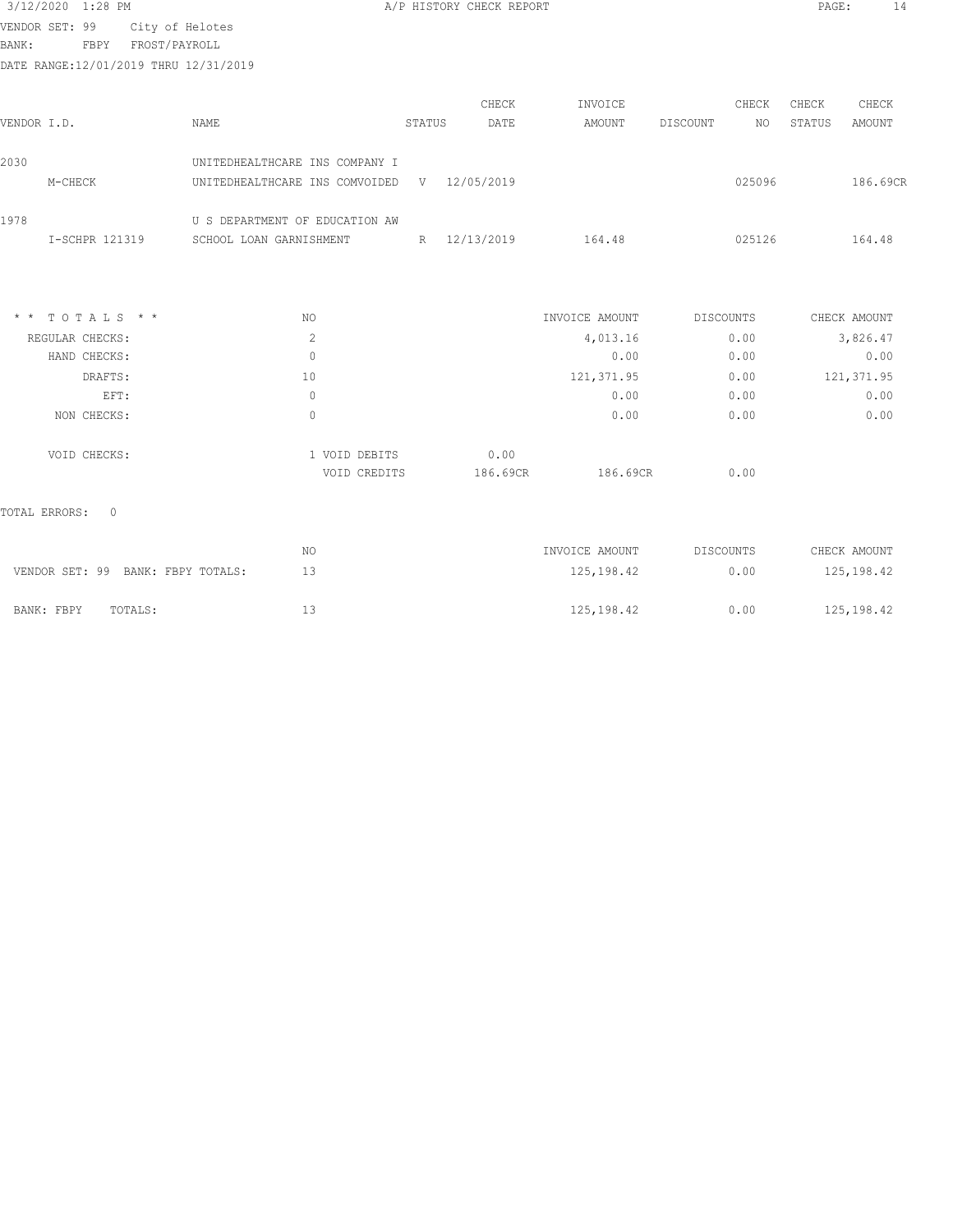| 3/12/2020 1:28 PM |                 |  |
|-------------------|-----------------|--|
| VENDOR SET: 99    | City of Helotes |  |

A/P HISTORY CHECK REPORT PAGE: 14

EXECUTE 221 FORM CITY OF MODERN SERVICE PROST/PAYROLL

DATE RANGE:12/01/2019 THRU 12/31/2019

|             |                  |                                |        | CHECK        | INVOICE        |           | CHECK  | CHECK  | CHECK        |
|-------------|------------------|--------------------------------|--------|--------------|----------------|-----------|--------|--------|--------------|
| VENDOR I.D. |                  | <b>NAME</b>                    | STATUS | DATE         | AMOUNT         | DISCOUNT  | NO.    | STATUS | AMOUNT       |
| 2030        |                  | UNITEDHEALTHCARE INS COMPANY I |        |              |                |           |        |        |              |
|             | M-CHECK          | UNITEDHEALTHCARE INS COMVOIDED |        | V 12/05/2019 |                |           | 025096 |        | 186.69CR     |
| 1978        |                  | U S DEPARTMENT OF EDUCATION AW |        |              |                |           |        |        |              |
|             | I-SCHPR 121319   | SCHOOL LOAN GARNISHMENT        |        | R 12/13/2019 | 164.48         |           | 025126 |        | 164.48       |
|             |                  |                                |        |              |                |           |        |        |              |
|             | $*$ * TOTALS * * | NO.                            |        |              | INVOICE AMOUNT | DISCOUNTS |        |        | CHECK AMOUNT |
|             | REGULAR CHECKS:  | 2                              |        |              | 4,013.16       |           | 0.00   |        | 3,826.47     |
|             | HAND CHECKS:     | $\mathbb O$                    |        |              | 0.00           |           | 0.00   |        | 0.00         |
|             | DRAFTS:          | 10                             |        |              | 121, 371.95    |           | 0.00   |        | 121, 371.95  |
|             | EFT:             | $\mathbf{0}$                   |        |              | 0.00           |           | 0.00   |        | 0.00         |
|             | NON CHECKS:      | $\mathbf{0}$                   |        |              | 0.00           |           | 0.00   |        | 0.00         |
|             | VOID CHECKS:     | 1 VOID DEBITS                  |        | 0.00         |                |           |        |        |              |
|             |                  | VOID CREDITS                   |        | 186.69CR     | 186.69CR       |           | 0.00   |        |              |

|                                   | ΝO | INVOICE AMOUNT | DISCOUNTS | CHECK AMOUNT |
|-----------------------------------|----|----------------|-----------|--------------|
| VENDOR SET: 99 BANK: FBPY TOTALS: |    | 125,198.42     | 0.00      | 125,198.42   |
| BANK: FBPY<br>TOTALS:             |    | 125,198.42     | 0.00      | 125,198.42   |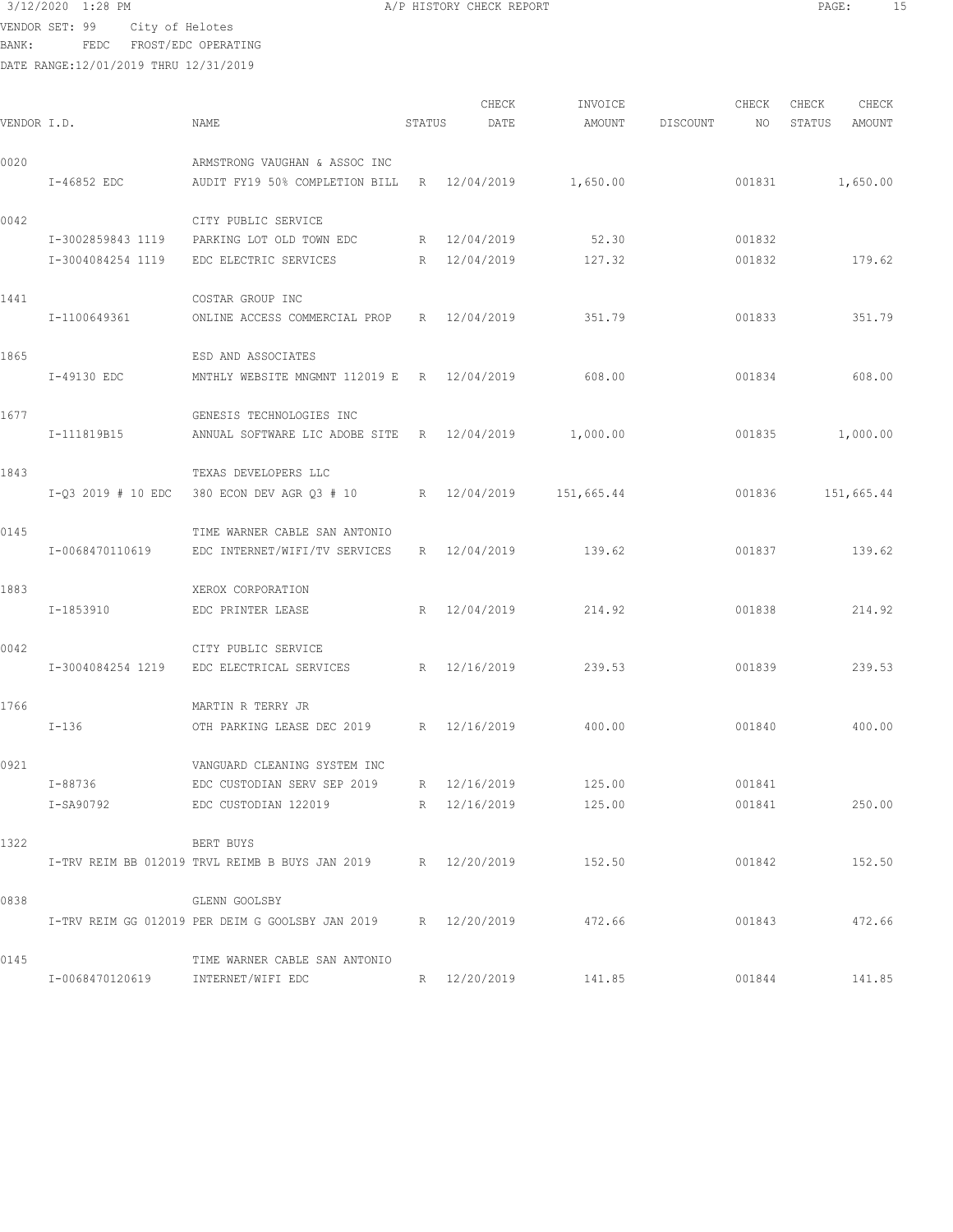VENDOR SET: 99 City of Helotes

BANK: FEDC FROST/EDC OPERATING

| 3/12/2020 1:28 PM | A/P HISTORY CHECK REPORT | PAGE |
|-------------------|--------------------------|------|
|-------------------|--------------------------|------|

| VENDOR I.D. |                                   | NAME                                                          | STATUS | CHECK<br>DATE | INVOICE<br>AMOUNT | DISCOUNT | CHECK<br>NO | CHECK<br>STATUS | CHECK<br>AMOUNT |
|-------------|-----------------------------------|---------------------------------------------------------------|--------|---------------|-------------------|----------|-------------|-----------------|-----------------|
| 0020        |                                   | ARMSTRONG VAUGHAN & ASSOC INC                                 |        |               |                   |          |             |                 |                 |
|             | I-46852 EDC                       | AUDIT FY19 50% COMPLETION BILL                                |        | R 12/04/2019  | 1,650.00          |          | 001831      |                 | 1,650.00        |
| 0042        |                                   | CITY PUBLIC SERVICE                                           |        |               |                   |          |             |                 |                 |
|             | I-3002859843 1119                 | PARKING LOT OLD TOWN EDC                                      |        | R 12/04/2019  | 52.30             |          | 001832      |                 |                 |
|             | I-3004084254 1119                 | EDC ELECTRIC SERVICES                                         |        | R 12/04/2019  | 127.32            |          | 001832      |                 | 179.62          |
| 1441        |                                   | COSTAR GROUP INC                                              |        |               |                   |          |             |                 |                 |
|             | I-1100649361                      | ONLINE ACCESS COMMERCIAL PROP                                 |        | R 12/04/2019  | 351.79            |          | 001833      |                 | 351.79          |
| 1865        |                                   | ESD AND ASSOCIATES                                            |        |               |                   |          |             |                 |                 |
|             | I-49130 EDC                       | MNTHLY WEBSITE MNGMNT 112019 E R 12/04/2019                   |        |               | 608.00            |          | 001834      |                 | 608.00          |
| 1677        |                                   | GENESIS TECHNOLOGIES INC                                      |        |               |                   |          |             |                 |                 |
|             | I-111819B15                       | ANNUAL SOFTWARE LIC ADOBE SITE R 12/04/2019                   |        |               | 1,000.00          |          | 001835      |                 | 1,000.00        |
| 1843        |                                   | TEXAS DEVELOPERS LLC                                          |        |               |                   |          |             |                 |                 |
|             | $I-Q3 2019 # 10 EDC$              | 380 ECON DEV AGR Q3 # 10                                      |        | R 12/04/2019  | 151,665.44        |          | 001836      |                 | 151,665.44      |
| 0145        |                                   | TIME WARNER CABLE SAN ANTONIO                                 |        |               |                   |          |             |                 |                 |
|             | I-0068470110619                   | EDC INTERNET/WIFI/TV SERVICES                                 |        | R 12/04/2019  | 139.62            |          | 001837      |                 | 139.62          |
| 1883        |                                   | XEROX CORPORATION                                             |        |               |                   |          |             |                 |                 |
|             | I-1853910                         | EDC PRINTER LEASE                                             |        | R 12/04/2019  | 214.92            |          | 001838      |                 | 214.92          |
| 0042        |                                   | CITY PUBLIC SERVICE                                           |        |               |                   |          |             |                 |                 |
|             | I-3004084254 1219                 | EDC ELECTRICAL SERVICES                                       |        | R 12/16/2019  | 239.53            |          | 001839      |                 | 239.53          |
| 1766        |                                   | MARTIN R TERRY JR                                             |        |               |                   |          |             |                 |                 |
|             | $I - 136$                         | OTH PARKING LEASE DEC 2019                                    |        | R 12/16/2019  | 400.00            |          | 001840      |                 | 400.00          |
| 0921        |                                   | VANGUARD CLEANING SYSTEM INC                                  |        |               |                   |          |             |                 |                 |
|             | I-88736                           | EDC CUSTODIAN SERV SEP 2019                                   |        | R 12/16/2019  | 125.00            |          | 001841      |                 |                 |
|             | I-SA90792                         | EDC CUSTODIAN 122019 R 12/16/2019                             |        |               | 125.00            |          | 001841      |                 | 250.00          |
| 1322        |                                   | BERT BUYS                                                     |        |               |                   |          |             |                 |                 |
|             |                                   | I-TRV REIM BB 012019 TRVL REIMB B BUYS JAN 2019 R 12/20/2019  |        |               | 152.50            |          | 001842      |                 | 152.50          |
| 0838        |                                   | GLENN GOOLSBY                                                 |        |               |                   |          |             |                 |                 |
|             |                                   | I-TRV REIM GG 012019 PER DEIM G GOOLSBY JAN 2019 R 12/20/2019 |        |               | 472.66            |          | 001843      |                 | 472.66          |
| 0145        |                                   | TIME WARNER CABLE SAN ANTONIO                                 |        |               |                   |          |             |                 |                 |
|             | I-0068470120619 INTERNET/WIFI EDC |                                                               |        | R 12/20/2019  | 141.85            |          | 001844      |                 | 141.85          |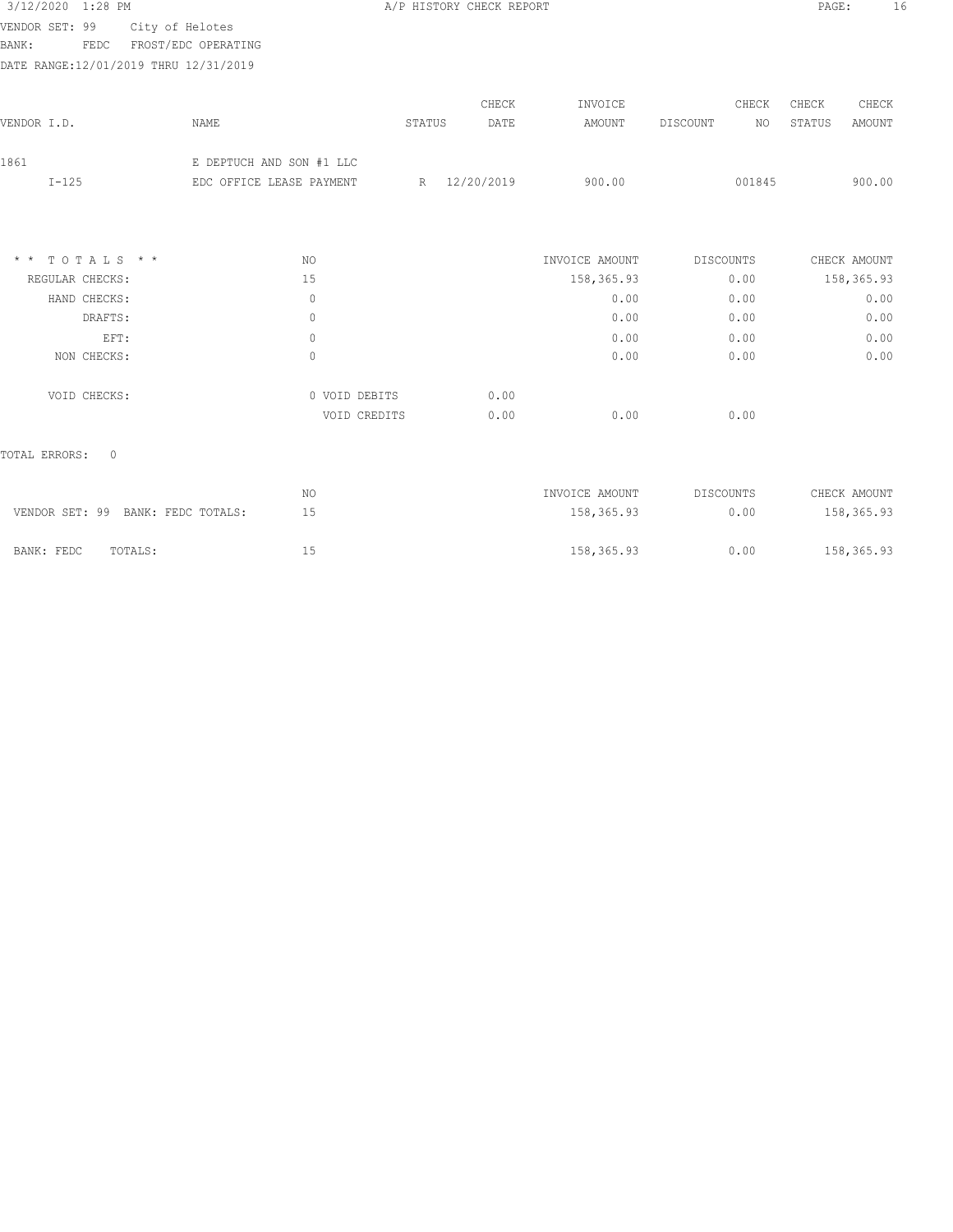| 3/12/2020 1:28 PM                      |                          |               | A/P HISTORY CHECK REPORT |                |                  | PAGE:            | 16 |
|----------------------------------------|--------------------------|---------------|--------------------------|----------------|------------------|------------------|----|
| VENDOR SET: 99                         | City of Helotes          |               |                          |                |                  |                  |    |
| <b>BANK:</b><br>FEDC                   | FROST/EDC OPERATING      |               |                          |                |                  |                  |    |
| DATE RANGE: 12/01/2019 THRU 12/31/2019 |                          |               |                          |                |                  |                  |    |
|                                        |                          |               | CHECK                    | INVOICE        | CHECK            | CHECK<br>CHECK   |    |
| VENDOR I.D.                            | NAME                     | <b>STATUS</b> | DATE                     | AMOUNT         | DISCOUNT<br>NO   | STATUS<br>AMOUNT |    |
| 1861                                   | E DEPTUCH AND SON #1 LLC |               |                          |                |                  |                  |    |
| $I-125$                                | EDC OFFICE LEASE PAYMENT | R             | 12/20/2019               | 900.00         | 001845           | 900.00           |    |
|                                        |                          |               |                          |                |                  |                  |    |
| TOTALS * *<br>$\star$ $\star$          | NO                       |               |                          | INVOICE AMOUNT | DISCOUNTS        | CHECK AMOUNT     |    |
| REGULAR CHECKS:                        | 15                       |               |                          | 158,365.93     | 0.00             | 158, 365.93      |    |
| HAND CHECKS:                           | $\circ$                  |               |                          | 0.00           | 0.00             | 0.00             |    |
| DRAFTS:                                | $\mathbb O$              |               |                          | 0.00           | 0.00             | 0.00             |    |
| EFT:                                   | $\circ$                  |               |                          | 0.00           | 0.00             | 0.00             |    |
| NON CHECKS:                            | $\mathbb O$              |               |                          | 0.00           | 0.00             | 0.00             |    |
| VOID CHECKS:                           |                          | 0 VOID DEBITS | 0.00                     |                |                  |                  |    |
|                                        |                          | VOID CREDITS  | 0.00                     | 0.00           | 0.00             |                  |    |
| TOTAL ERRORS:<br>$\circ$               |                          |               |                          |                |                  |                  |    |
|                                        | NO                       |               |                          | INVOICE AMOUNT | <b>DISCOUNTS</b> | CHECK AMOUNT     |    |
| VENDOR SET: 99 BANK: FEDC TOTALS:      | 15                       |               |                          | 158,365.93     | 0.00             | 158,365.93       |    |
| TOTALS:<br>BANK: FEDC                  | 15                       |               |                          | 158,365.93     | 0.00             | 158,365.93       |    |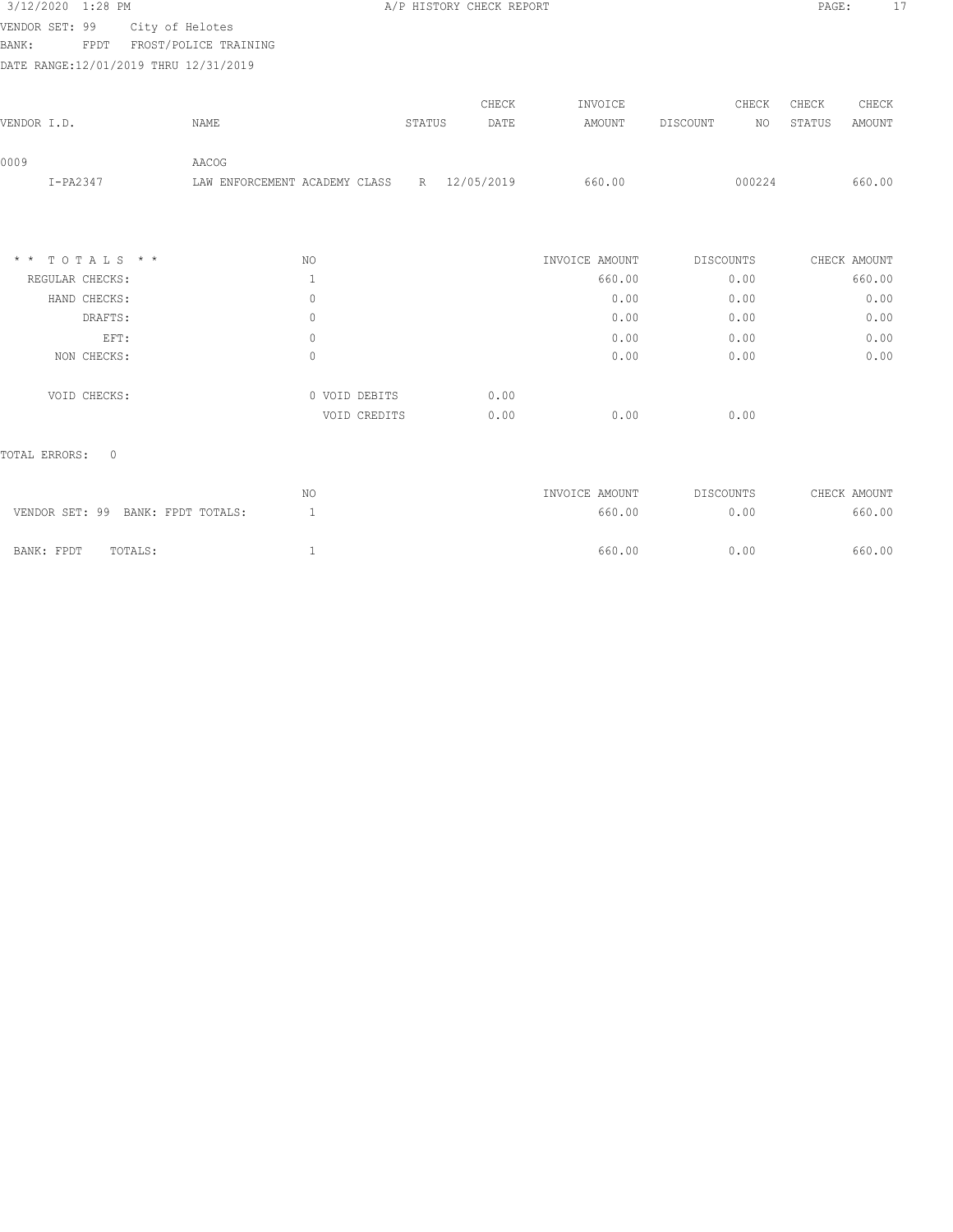| 3/12/2020                              | $1:28$ PM |                 |                       |                           |        | A/P HISTORY CHECK REPORT |         |          |        | PAGE:  |        | 17 |
|----------------------------------------|-----------|-----------------|-----------------------|---------------------------|--------|--------------------------|---------|----------|--------|--------|--------|----|
| VENDOR SET: 99                         |           | City of Helotes |                       |                           |        |                          |         |          |        |        |        |    |
| BANK:                                  | FPDT      |                 | FROST/POLICE TRAINING |                           |        |                          |         |          |        |        |        |    |
| DATE RANGE: 12/01/2019 THRU 12/31/2019 |           |                 |                       |                           |        |                          |         |          |        |        |        |    |
|                                        |           |                 |                       |                           |        |                          |         |          |        |        |        |    |
|                                        |           |                 |                       |                           |        | CHECK                    | INVOICE |          | CHECK  | CHECK  | CHECK  |    |
| VENDOR I.D.                            |           |                 | NAME                  |                           | STATUS | DATE                     | AMOUNT  | DISCOUNT | NO.    | STATUS | AMOUNT |    |
|                                        |           |                 |                       |                           |        |                          |         |          |        |        |        |    |
| 0009                                   |           |                 | AACOG                 |                           |        |                          |         |          |        |        |        |    |
| $I-PA2347$                             |           |                 | LAW                   | ENFORCEMENT ACADEMY CLASS | R      | 12/05/2019               | 660.00  |          | 000224 |        | 660.00 |    |

| $*$ * TOTALS * * | NO. |               | INVOICE AMOUNT | DISCOUNTS | CHECK AMOUNT   |
|------------------|-----|---------------|----------------|-----------|----------------|
| REGULAR CHECKS:  |     |               |                | 660.00    | 660.00<br>0.00 |
| HAND CHECKS:     | 0   |               |                | 0.00      | 0.00<br>0.00   |
| DRAFTS:          | 0   |               |                | 0.00      | 0.00<br>0.00   |
| EFT:             | 0   |               |                | 0.00      | 0.00<br>0.00   |
| NON CHECKS:      | 0   |               |                | 0.00      | 0.00<br>0.00   |
| VOID CHECKS:     |     | 0 VOID DEBITS | 0.00           |           |                |
|                  |     | VOID CREDITS  | 0.00           | 0.00      | 0.00           |

| VENDOR SET: 99 BANK: FPDT TOTALS: | NO | INVOICE AMOUNT<br>660.00 | DISCOUNTS<br>0.00 | CHECK AMOUNT<br>660.00 |
|-----------------------------------|----|--------------------------|-------------------|------------------------|
| BANK: FPDT<br>TOTALS:             |    | 660.00                   | 0.00              | 660.00                 |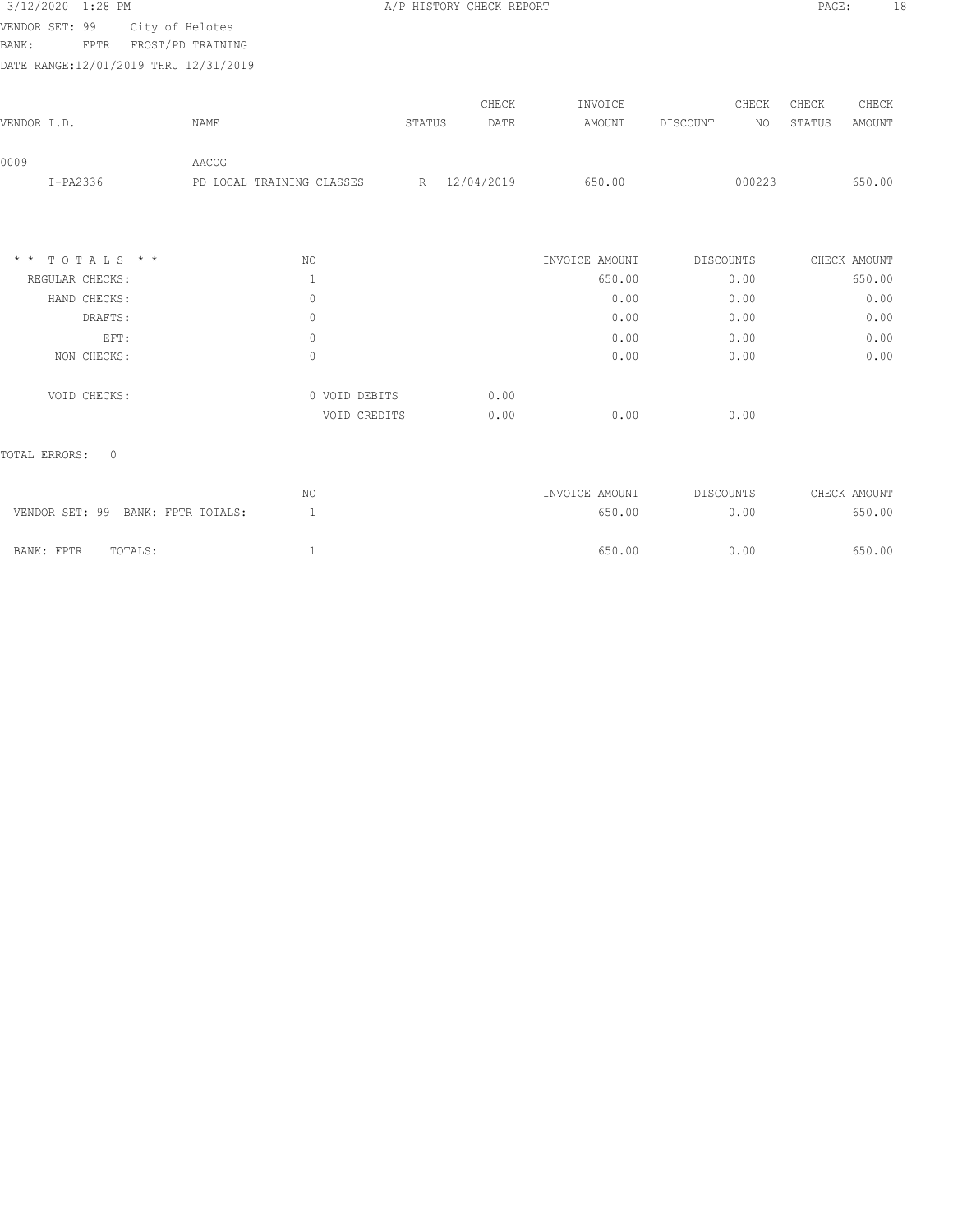| 3/12/2020 1:28 PM                      |                           |               | A/P HISTORY CHECK REPORT |                |                  | PAGE:                   | 18 |
|----------------------------------------|---------------------------|---------------|--------------------------|----------------|------------------|-------------------------|----|
| VENDOR SET: 99                         | City of Helotes           |               |                          |                |                  |                         |    |
| BANK:<br><b>FPTR</b>                   | FROST/PD TRAINING         |               |                          |                |                  |                         |    |
| DATE RANGE: 12/01/2019 THRU 12/31/2019 |                           |               |                          |                |                  |                         |    |
|                                        |                           |               | CHECK                    | INVOICE        | CHECK            | CHECK<br>CHECK          |    |
| VENDOR I.D.                            | NAME                      | STATUS        | DATE                     | AMOUNT         | DISCOUNT<br>NO   | <b>AMOUNT</b><br>STATUS |    |
| 0009                                   | AACOG                     |               |                          |                |                  |                         |    |
| $I-PA2336$                             | PD LOCAL TRAINING CLASSES |               | R 12/04/2019             | 650.00         | 000223           | 650.00                  |    |
|                                        |                           |               |                          |                |                  |                         |    |
| TOTALS * *<br>$\star$ $\star$          | NO.                       |               |                          | INVOICE AMOUNT | <b>DISCOUNTS</b> | CHECK AMOUNT            |    |
| REGULAR CHECKS:                        | $\mathbf{1}$              |               |                          | 650.00         | 0.00             | 650.00                  |    |
| HAND CHECKS:                           | $\circ$                   |               |                          | 0.00           | 0.00             | 0.00                    |    |
| DRAFTS:                                | $\mathbb O$               |               |                          | 0.00           | 0.00             | 0.00                    |    |
| EFT:                                   | $\mathbb O$               |               |                          | 0.00           | 0.00             | 0.00                    |    |
| NON CHECKS:                            | $\circ$                   |               |                          | 0.00           | 0.00             | 0.00                    |    |
| VOID CHECKS:                           |                           | 0 VOID DEBITS | 0.00                     |                |                  |                         |    |
|                                        |                           |               | 0.00                     | 0.00           | 0.00             |                         |    |

|                                   | NO | INVOICE AMOUNT | DISCOUNTS | CHECK AMOUNT |
|-----------------------------------|----|----------------|-----------|--------------|
| VENDOR SET: 99 BANK: FPTR TOTALS: |    | 650.00         | 0.00      | 650.00       |
|                                   |    |                |           |              |
| BANK: FPTR<br>TOTALS:             |    | 650.00         | 0.00      | 650.00       |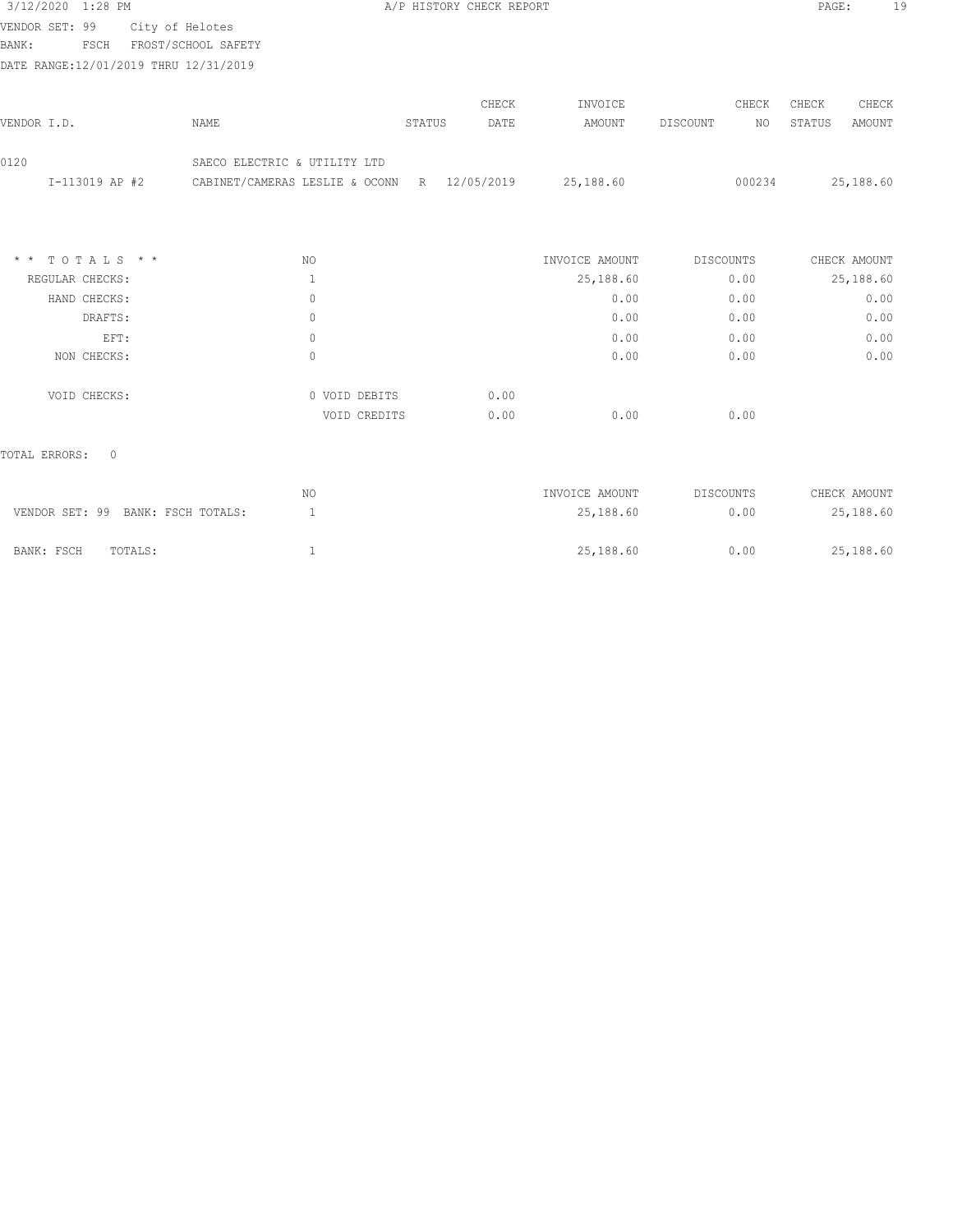| 3/12/2020 1:28 PM |      |                                       |        | A/P HISTORY CHECK REPORT |         |          |       | PAGE:  | 19     |
|-------------------|------|---------------------------------------|--------|--------------------------|---------|----------|-------|--------|--------|
| VENDOR SET: 99    |      | City of Helotes                       |        |                          |         |          |       |        |        |
| BANK:             | FSCH | FROST/SCHOOL SAFETY                   |        |                          |         |          |       |        |        |
|                   |      | DATE RANGE:12/01/2019 THRU 12/31/2019 |        |                          |         |          |       |        |        |
|                   |      |                                       |        | CHECK                    | INVOICE |          | CHECK | CHECK  | CHECK  |
| VENDOR I.D.       |      | NAME                                  | STATUS | DATE                     | AMOUNT  | DISCOUNT | NO.   | STATUS | AMOUNT |
|                   |      |                                       |        |                          |         |          |       |        |        |

| $*$ * TOTALS * * | NO.           | INVOICE AMOUNT | DISCOUNTS | CHECK AMOUNT |
|------------------|---------------|----------------|-----------|--------------|
| REGULAR CHECKS:  |               | 25,188.60      | 0.00      | 25,188.60    |
| HAND CHECKS:     | 0             | 0.00           | 0.00      | 0.00         |
| DRAFTS:          | 0             | 0.00           | 0.00      | 0.00         |
| EFT:             | 0             | 0.00           | 0.00      | 0.00         |
| NON CHECKS:      | 0             | 0.00           | 0.00      | 0.00         |
|                  |               |                |           |              |
| VOID CHECKS:     | 0 VOID DEBITS | 0.00           |           |              |
|                  | VOID CREDITS  | 0.00<br>0.00   | 0.00      |              |
|                  |               |                |           |              |

I-113019 AP #2 CABINET/CAMERAS LESLIE & OCONN R 12/05/2019 25,188.60 000234 25,188.60

## TOTAL ERRORS: 0

0120 SAECO ELECTRIC & UTILITY LTD

| VENDOR SET: 99 BANK: FSCH TOTALS: | ΝO | INVOICE AMOUNT<br>25,188.60 | DISCOUNTS<br>0.00 | CHECK AMOUNT<br>25,188.60 |
|-----------------------------------|----|-----------------------------|-------------------|---------------------------|
| BANK: FSCH<br>TOTALS:             |    | 25,188.60                   | 0.00              | 25,188.60                 |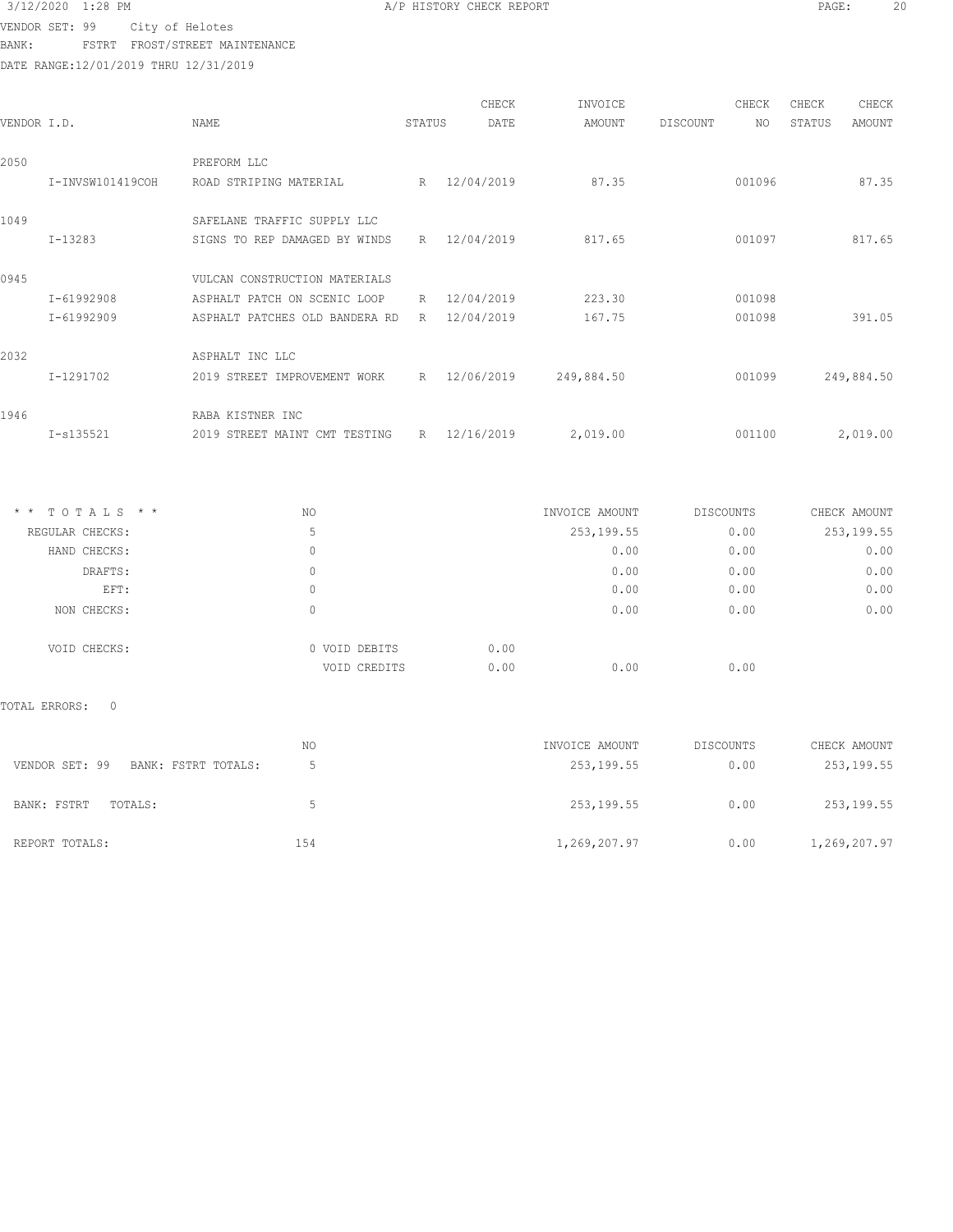VENDOR SET: 99 City of Helotes BANK: FSTRT FROST/STREET MAINTENANCE

DATE RANGE:12/01/2019 THRU 12/31/2019

| VENDOR I.D. |                  | NAME                           | STATUS | CHECK<br>DATE | INVOICE<br>AMOUNT | DISCOUNT | CHECK<br>NO | CHECK<br>STATUS | CHECK<br>AMOUNT |
|-------------|------------------|--------------------------------|--------|---------------|-------------------|----------|-------------|-----------------|-----------------|
| 2050        |                  | PREFORM LLC                    |        |               |                   |          |             |                 |                 |
|             | I-INVSW101419COH | ROAD STRIPING MATERIAL         |        | R 12/04/2019  | 87.35             |          | 001096      |                 | 87.35           |
| 1049        |                  | SAFELANE TRAFFIC SUPPLY LLC    |        |               |                   |          |             |                 |                 |
|             | I-13283          | SIGNS TO REP DAMAGED BY WINDS  | R      | 12/04/2019    | 817.65            |          | 001097      |                 | 817.65          |
| 0945        |                  | VULCAN CONSTRUCTION MATERIALS  |        |               |                   |          |             |                 |                 |
|             | I-61992908       | ASPHALT PATCH ON SCENIC LOOP   | R      | 12/04/2019    | 223.30            |          | 001098      |                 |                 |
|             | I-61992909       | ASPHALT PATCHES OLD BANDERA RD | R      | 12/04/2019    | 167.75            |          | 001098      |                 | 391.05          |
| 2032        |                  | ASPHALT INC LLC                |        |               |                   |          |             |                 |                 |
|             | I-1291702        | 2019 STREET IMPROVEMENT WORK   | R      | 12/06/2019    | 249,884.50        |          | 001099      |                 | 249,884.50      |
| 1946        |                  | RABA KISTNER INC               |        |               |                   |          |             |                 |                 |
|             | $I-s135521$      | 2019 STREET MAINT CMT TESTING  |        | R 12/16/2019  | 2,019.00          |          | 001100      |                 | 2,019.00        |

| $*$ * TOTALS * * | NO            | INVOICE AMOUNT | <b>DISCOUNTS</b> | CHECK AMOUNT |
|------------------|---------------|----------------|------------------|--------------|
| REGULAR CHECKS:  | 5             | 253, 199.55    | 0.00             | 253, 199.55  |
| HAND CHECKS:     | 0             | 0.00           | 0.00             | 0.00         |
| DRAFTS:          | 0             | 0.00           | 0.00             | 0.00         |
| EFT:             | 0             | 0.00           | 0.00             | 0.00         |
| NON CHECKS:      | 0             | 0.00           | 0.00             | 0.00         |
| VOID CHECKS:     | 0 VOID DEBITS | 0.00           |                  |              |
|                  | VOID CREDITS  | 0.00<br>0.00   | 0.00             |              |

|                                       | NO  | INVOICE AMOUNT | DISCOUNTS | CHECK AMOUNT |
|---------------------------------------|-----|----------------|-----------|--------------|
| VENDOR SET: 99<br>BANK: FSTRT TOTALS: |     | 253,199.55     | 0.00      | 253,199.55   |
| BANK: FSTRT<br>TOTALS:                | h,  | 253,199.55     | 0.00      | 253,199.55   |
| REPORT TOTALS:                        | 154 | 1,269,207.97   | 0.00      | 1,269,207.97 |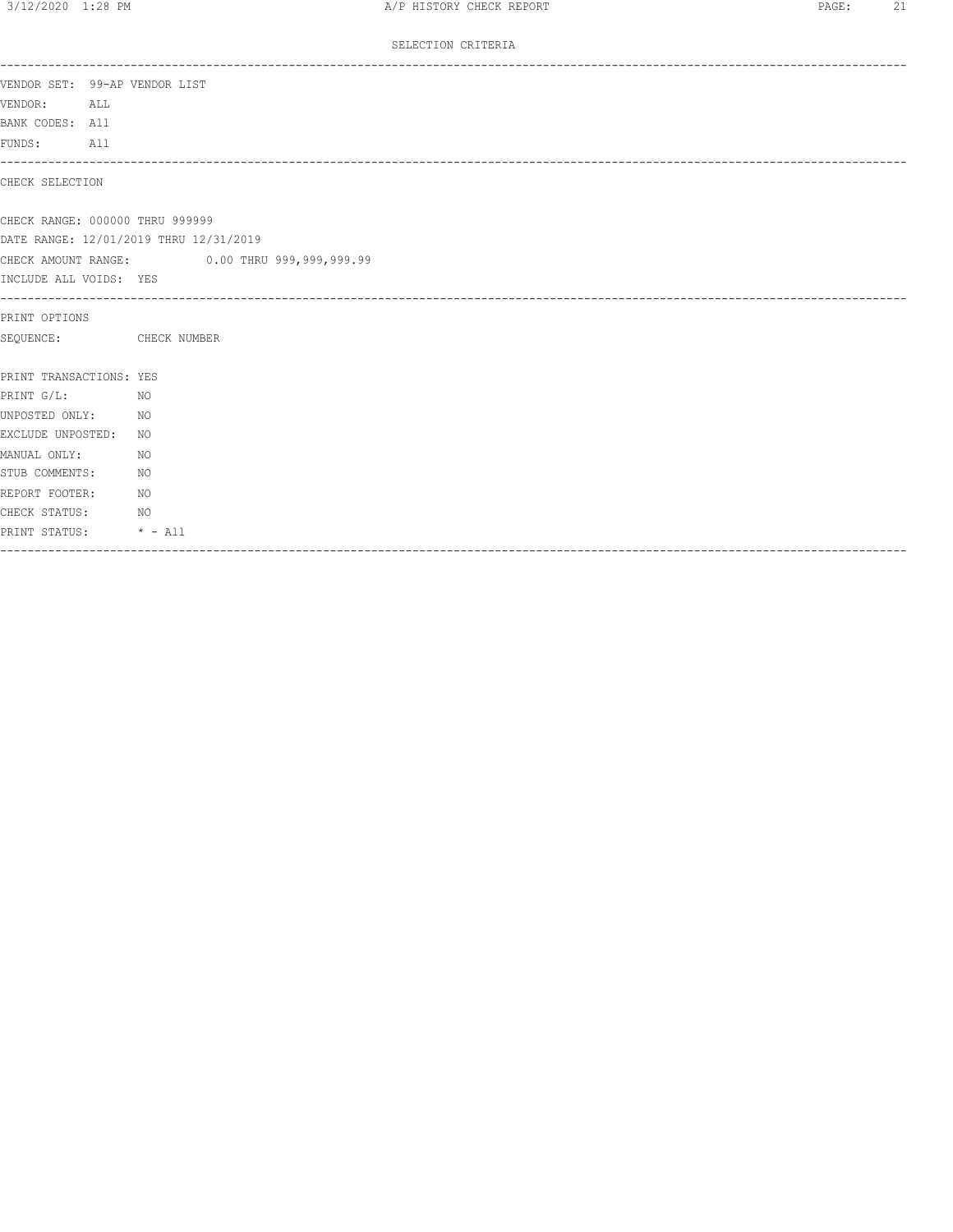SELECTION CRITERIA

| VENDOR SET: 99-AP VENDOR LIST   |                 |                                              |
|---------------------------------|-----------------|----------------------------------------------|
| VENDOR:<br>ALL                  |                 |                                              |
| BANK CODES: All                 |                 |                                              |
| FUNDS: All                      |                 |                                              |
| CHECK SELECTION                 |                 |                                              |
| CHECK RANGE: 000000 THRU 999999 |                 |                                              |
|                                 |                 | DATE RANGE: 12/01/2019 THRU 12/31/2019       |
|                                 |                 | CHECK AMOUNT RANGE: 0.00 THRU 999,999,999.99 |
| INCLUDE ALL VOIDS: YES          |                 |                                              |
| PRINT OPTIONS                   |                 |                                              |
| SEOUENCE: CHECK NUMBER          |                 |                                              |
| PRINT TRANSACTIONS: YES         |                 |                                              |
| PRINT G/L:                      | <b>NO</b>       |                                              |
| UNPOSTED ONLY: NO               |                 |                                              |
| EXCLUDE UNPOSTED:               |                 | NO.                                          |
| MANUAL ONLY:                    | NO <sub>N</sub> |                                              |
| STUB COMMENTS:                  | NO <sub>N</sub> |                                              |
| REPORT FOOTER: NO               |                 |                                              |
| CHECK STATUS:                   | NO <sub>N</sub> |                                              |
| PRINT STATUS: * - All           |                 |                                              |
|                                 |                 |                                              |